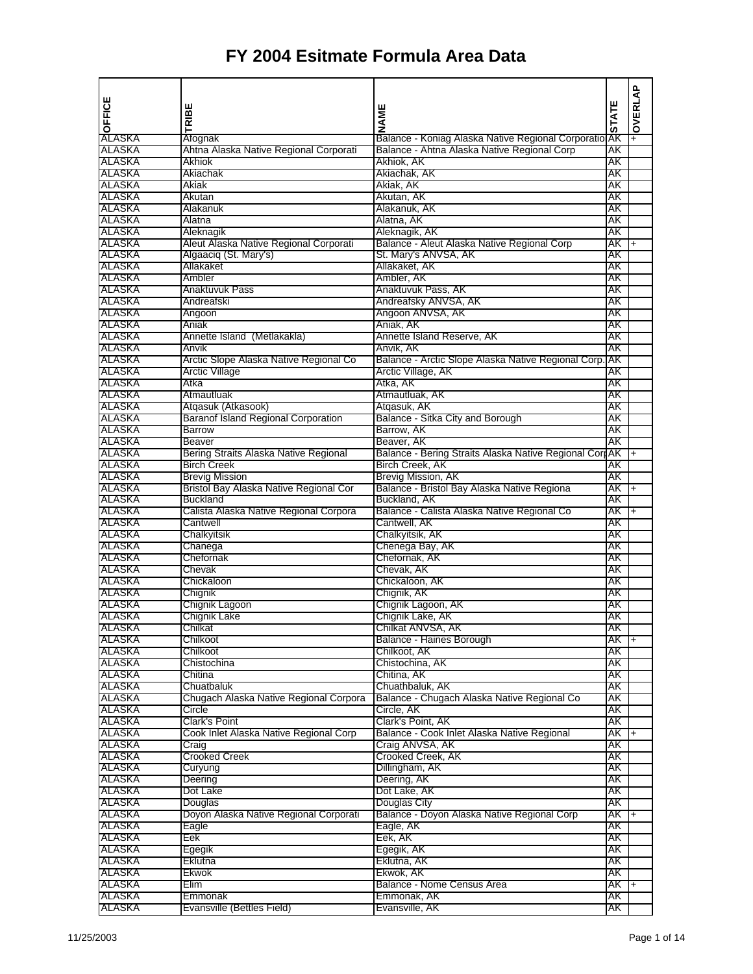|                  | ш                                                           |                                                                            |              | OVERLAP   |
|------------------|-------------------------------------------------------------|----------------------------------------------------------------------------|--------------|-----------|
| OFFICE           | TRIBI                                                       | NAME                                                                       | <b>STATE</b> |           |
|                  |                                                             |                                                                            |              |           |
| ALASKA           | Afognak                                                     | Balance - Koniag Alaska Native Regional Corporatio                         | ΑK           |           |
| ALASKA           | Ahtna Alaska Native Regional Corporati                      | Balance - Ahtna Alaska Native Regional Corp                                | AΚ           |           |
| ALASKA<br>ALASKA | Akhiok<br>Akiachak                                          | Akhiok, AK<br>Akiachak, AK                                                 | AΚ<br>AΚ     |           |
| <b>ALASKA</b>    | Akiak                                                       | Akiak, AK                                                                  | AΚ           |           |
| ALASKA           | Akutan                                                      | Akutan, AK                                                                 | AK           |           |
| ALASKA           | Alakanuk                                                    | Alakanuk, AK                                                               | AΚ           |           |
| ALASKA           | Alatna                                                      | Alatna, AK                                                                 | AΚ           |           |
| ALASKA           | Aleknagik                                                   | Aleknagik, AK                                                              | AK           |           |
| ALASKA           | Aleut Alaska Native Regional Corporati                      | Balance - Aleut Alaska Native Regional Corp                                | AK           | I+        |
| ALASKA           | Algaaciq (St. Mary's)                                       | St. Mary's ANVSA, AK                                                       | AΚ           |           |
| ALASKA           | Allakaket                                                   | Allakaket, AK                                                              | AΚ           |           |
| ALASKA           | Ambler                                                      | Ambler, AK                                                                 | AΚ           |           |
| ALASKA           | Anaktuvuk Pass                                              | Anaktuvuk Pass, AK                                                         | AΚ           |           |
| ALASKA<br>ALASKA | Andreafski                                                  | Andreafsky ANVSA, AK<br>Angoon ANVSA, AK                                   | AΚ<br>AK     |           |
| ALASKA           | Angoon<br>Aniak                                             | Aniak, AK                                                                  | AΚ           |           |
| ALASKA           | Annette Island (Metlakakla)                                 | Annette Island Reserve, AK                                                 | AΚ           |           |
| ALASKA           | Anvik                                                       | Anvik, AK                                                                  | AΚ           |           |
| ALASKA           | Arctic Slope Alaska Native Regional Co                      | Balance - Arctic Slope Alaska Native Regional Corp.                        | ΑK           |           |
| ALASKA           | <b>Arctic Village</b>                                       | Arctic Village, AK                                                         | AK           |           |
| ALASKA           | Atka                                                        | Atka, AK                                                                   | AK           |           |
| ALASKA           | Atmautluak                                                  | Atmautluak, AK                                                             | AΚ           |           |
| ALASKA           | Atqasuk (Atkasook)                                          | Atgasuk, AK                                                                | AΚ           |           |
| ALASKA           | <b>Baranof Island Regional Corporation</b>                  | Balance - Sitka City and Borough                                           | AK           |           |
| ALASKA           | <b>Barrow</b>                                               | Barrow, AK                                                                 | AΚ           |           |
| ALASKA           | <b>Beaver</b>                                               | Beaver, AK                                                                 | AK           |           |
| ALASKA<br>ALASKA | Bering Straits Alaska Native Regional<br><b>Birch Creek</b> | Balance - Bering Straits Alaska Native Regional Corr AK<br>Birch Creek, AK | AΚ           | $^{+}$    |
| <b>ALASKA</b>    | <b>Brevig Mission</b>                                       | Brevig Mission, AK                                                         | AΚ           |           |
| ALASKA           | Bristol Bay Alaska Native Regional Cor                      | Balance - Bristol Bay Alaska Native Regiona                                | AK           | $\ddot{}$ |
| ALASKA           | <b>Buckland</b>                                             | Buckland, AK                                                               | AΚ           |           |
| ALASKA           | Calista Alaska Native Regional Corpora                      | Balance - Calista Alaska Native Regional Co                                | AK           | $+$       |
| ALASKA           | Cantwell                                                    | Cantwell, AK                                                               | AK           |           |
| ALASKA           | Chalkyitsik                                                 | Chalkyitsik, AK                                                            | AΚ           |           |
| ALASKA           | Chanega                                                     | Chenega Bay, AK                                                            | AΚ           |           |
| ALASKA           | Chefornak                                                   | Chefornak, AK                                                              | AΚ           |           |
| ALASKA           | Chevak                                                      | Chevak, AK                                                                 | AΚ           |           |
| ALASKA           | Chickaloon                                                  | Chickaloon, AK                                                             | AΚ           |           |
| ALASKA           | Chignik                                                     | Chignik, AK                                                                | AK           |           |
| ALASKA<br>ALASKA | Chignik Lagoon<br>Chignik Lake                              | Chignik Lagoon, AK<br>Chignik Lake, AK                                     | AΚ<br>AΚ     |           |
| ALASKA           | Chilkat                                                     | Chilkat ANVSA, AK                                                          | AK           |           |
| ALASKA           | Chilkoot                                                    | Balance - Haines Borough                                                   | AK I+        |           |
| ALASKA           | Chilkoot                                                    | Chilkoot, AK                                                               | AK           |           |
| ALASKA           | Chistochina                                                 | Chistochina, AK                                                            | AK           |           |
| ALASKA           | Chitina                                                     | Chitina, AK                                                                | AK           |           |
| ALASKA           | Chuatbaluk                                                  | Chuathbaluk, AK                                                            | AΚ           |           |
| ALASKA           | Chugach Alaska Native Regional Corpora                      | Balance - Chugach Alaska Native Regional Co                                | AΚ           |           |
| ALASKA           | Circle                                                      | Circle, AK                                                                 | AK           |           |
| ALASKA           | Clark's Point                                               | Clark's Point, AK                                                          | AK           |           |
| ALASKA<br>ALASKA | Cook Inlet Alaska Native Regional Corp                      | Balance - Cook Inlet Alaska Native Regional<br>Craig ANVSA, AK             | AK I+<br>AK  |           |
| ALASKA           | Craig<br><b>Crooked Creek</b>                               |                                                                            | AK           |           |
| ALASKA           | Curyung                                                     | Crooked Creek, AK<br>Dillingham, AK                                        | AΚ           |           |
| ALASKA           | Deering                                                     | Deering, AK                                                                | AK           |           |
| ALASKA           | Dot Lake                                                    | Dot Lake, AK                                                               | AK           |           |
| ALASKA           | Douglas                                                     | Douglas City                                                               | AK           |           |
| ALASKA           | Doyon Alaska Native Regional Corporati                      | Balance - Doyon Alaska Native Regional Corp                                | AK +         |           |
| ALASKA           | Eagle                                                       | Eagle, AK                                                                  | AK           |           |
| ALASKA           | Eek                                                         | Eek, AK                                                                    | AK           |           |
| ALASKA           | Egegik                                                      | Egegik, AK                                                                 | AΚ           |           |
| ALASKA           | Eklutna                                                     | Eklutna, AK                                                                | AK           |           |
| ALASKA           | Ekwok                                                       | Ekwok, AK                                                                  | AK           |           |
| ALASKA<br>ALASKA | Elim                                                        | Balance - Nome Census Area                                                 | AK I+<br>AK  |           |
| ALASKA           | Emmonak<br>Evansville (Bettles Field)                       | Emmonak, AK<br>Evansville, AK                                              | AK           |           |
|                  |                                                             |                                                                            |              |           |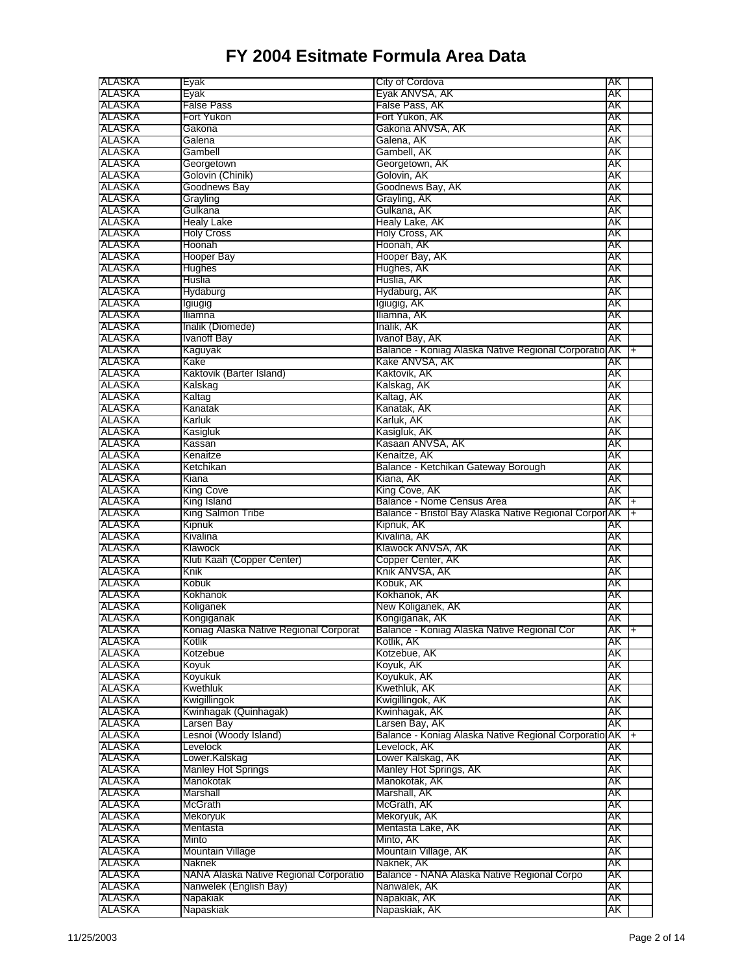| ALASKA           | Eyak                                   | City of Cordova                                        | AΚ       |                |
|------------------|----------------------------------------|--------------------------------------------------------|----------|----------------|
| ALASKA           | Eyak                                   | Eyak ANVSA, AK                                         | AΚ       |                |
| ALASKA           | False Pass                             | False Pass, AK                                         | AΚ       |                |
| ALASKA           | Fort Yukon                             | Fort Yukon, AK                                         | AΚ       |                |
| ALASKA           | Gakona                                 | Gakona ANVSA, AK                                       | AΚ       |                |
| ALASKA           | Galena                                 | Galena, AK                                             | AΚ       |                |
| ALASKA           | Gambell                                | Gambell, AK                                            | AΚ       |                |
| ALASKA           |                                        |                                                        | AΚ       |                |
|                  | Georgetown                             | Georgetown, AK                                         |          |                |
| ALASKA           | Golovin (Chinik)                       | Golovin, AK                                            | AΚ       |                |
| ALASKA           | Goodnews Bay                           | Goodnews Bay, AK                                       | AΚ       |                |
| ALASKA           | Grayling                               | Grayling, AK                                           | AΚ       |                |
| ALASKA           | Gulkana                                | Gulkana, AK                                            | AΚ       |                |
| <b>ALASKA</b>    | Healy Lake                             | Healy Lake, AK                                         | AΚ       |                |
| ALASKA           | <b>Holy Cross</b>                      | Holy Cross, AK                                         | AΚ       |                |
| ALASKA           | Hoonah                                 | Hoonah, AK                                             | AΚ       |                |
| ALASKA           | Hooper Bay                             | Hooper Bay, AK                                         | AΚ       |                |
| ALASKA           | Hughes                                 | Hughes, AK                                             | AΚ       |                |
| ALASKA           | Huslia                                 | Huslia, AK                                             | AΚ       |                |
| ALASKA           | Hydaburg                               | Hydaburg, AK                                           | AΚ       |                |
| ALASKA           | Igiugig                                | Igiugig, AK                                            | AΚ       |                |
| ALASKA           | Iliamna                                | Iliamna, AK                                            | AΚ       |                |
| ALASKA           | Inalik (Diomede)                       | Inalik, AK                                             | АK       |                |
| ALASKA           | Ivanoff Bay                            | Ivanof Bay, AK                                         | AΚ       |                |
| ALASKA           | Kaguyak                                | Balance - Koniag Alaska Native Regional Corporatio AK  |          | $\ddot{}$      |
| ALASKA           | Kake                                   | Kake ANVSA, AK                                         | АK       |                |
| ALASKA           | Kaktovik (Barter Island)               | Kaktovik, AK                                           | AΚ       |                |
| ALASKA           | Kalskag                                | Kalskag, AK                                            | AΚ       |                |
| ALASKA           | Kaltag                                 | Kaltag, AK                                             | АK       |                |
|                  |                                        |                                                        |          |                |
| ALASKA           | Kanatak                                | Kanatak, AK                                            | АK       |                |
| ALASKA           | Karluk                                 | Karluk, AK                                             | AΚ       |                |
| ALASKA           | Kasigluk                               | Kasigluk, AK                                           | AΚ       |                |
| ALASKA           | Kassan                                 | Kasaan ANVSA, AK                                       | AΚ       |                |
| ALASKA           | Kenaitze                               | Kenaitze, AK                                           | AΚ       |                |
| ALASKA           | Ketchikan                              | Balance - Ketchikan Gateway Borough                    | AΚ       |                |
| ALASKA           | Kiana                                  | Kiana, AK                                              | AΚ       |                |
| ALASKA           | King Cove                              | King Cove, AK                                          | AK       |                |
| ALASKA           | King Island                            | Balance - Nome Census Area                             | AΚ       | $\overline{+}$ |
|                  |                                        |                                                        |          |                |
| ALASKA           | King Salmon Tribe                      | Balance - Bristol Bay Alaska Native Regional Corpor AK |          | $+$            |
| ALASKA           | Kipnuk                                 | Kipnuk, AK                                             | AΚ       |                |
| ALASKA           | Kivalina                               | Kivalina, AK                                           | AΚ       |                |
|                  | Klawock                                |                                                        | АK       |                |
| ALASKA           |                                        | Klawock ANVSA, AK                                      |          |                |
| ALASKA           | Kluti Kaah (Copper Center)             | Copper Center, AK                                      | AΚ       |                |
| ALASKA           | Knik                                   | Knik ANVSA, AK                                         | AΚ       |                |
| ALASKA           | Kobuk                                  | Kobuk, AK                                              | AΚ       |                |
| ALASKA           | Kokhanok                               | Kokhanok, AK                                           | AΚ       |                |
| ALASKA           | Koliganek                              | New Koliganek, AK                                      | AΚ       |                |
| ALASKA           | Kongiganak                             | Kongiganak, AK                                         | AΚ       |                |
| ALASKA           | Koniag Alaska Native Regional Corporat | Balance - Koniag Alaska Native Regional Cor            | AK T+    |                |
| ALASKA           | Kotlik                                 | Kotlik, AK                                             | AΚ       |                |
| ALASKA           | Kotzebue                               | Kotzebue, AK                                           | AΚ       |                |
| ALASKA           | Koyuk                                  | Koyuk, AK                                              | AK       |                |
| ALASKA           | Koyukuk                                | Koyukuk, AK                                            | AΚ       |                |
| ALASKA           | Kwethluk                               | Kwethluk, AK                                           | AK       |                |
| ALASKA           | Kwigillingok                           | Kwigillingok, AK                                       | AK       |                |
| ALASKA           | Kwinhagak (Quinhagak)                  | Kwinhagak, AK                                          | AΚ       |                |
| ALASKA           | Larsen Bay                             | Larsen Bay, AK                                         | AK       |                |
| ALASKA           | Lesnoi (Woody Island)                  | Balance - Koniag Alaska Native Regional Corporatio AK  |          | I+             |
| ALASKA           | Levelock                               | Levelock, AK                                           | AΚ       |                |
|                  | Lower.Kalskag                          | Lower Kalskag, AK                                      | ΑK       |                |
| ALASKA<br>ALASKA | Manley Hot Springs                     | Manley Hot Springs, AK                                 | AK       |                |
| ALASKA           | Manokotak                              | Manokotak, AK                                          | AK       |                |
| ALASKA           | Marshall                               | Marshall, AK                                           | AΚ       |                |
| <b>ALASKA</b>    | <b>McGrath</b>                         | McGrath, AK                                            | AΚ       |                |
| ALASKA           | Mekoryuk                               | Mekoryuk, AK                                           | AΚ       |                |
|                  |                                        |                                                        | AK       |                |
| ALASKA           | Mentasta<br>Minto                      | Mentasta Lake, AK                                      |          |                |
| ALASKA           |                                        | Minto, AK                                              | АK       |                |
| ALASKA           | Mountain Village                       | Mountain Village, AK                                   | AK       |                |
| ALASKA           | Naknek                                 | Naknek, AK                                             | AΚ       |                |
| ALASKA           | NANA Alaska Native Regional Corporatio | Balance - NANA Alaska Native Regional Corpo            | AΚ       |                |
| <b>ALASKA</b>    | Nanwelek (English Bay)                 | Nanwalek, AK                                           | AΚ       |                |
| ALASKA<br>ALASKA | Napakiak<br>Napaskiak                  | Napakiak, AK<br>Napaskiak, AK                          | AK<br>AK |                |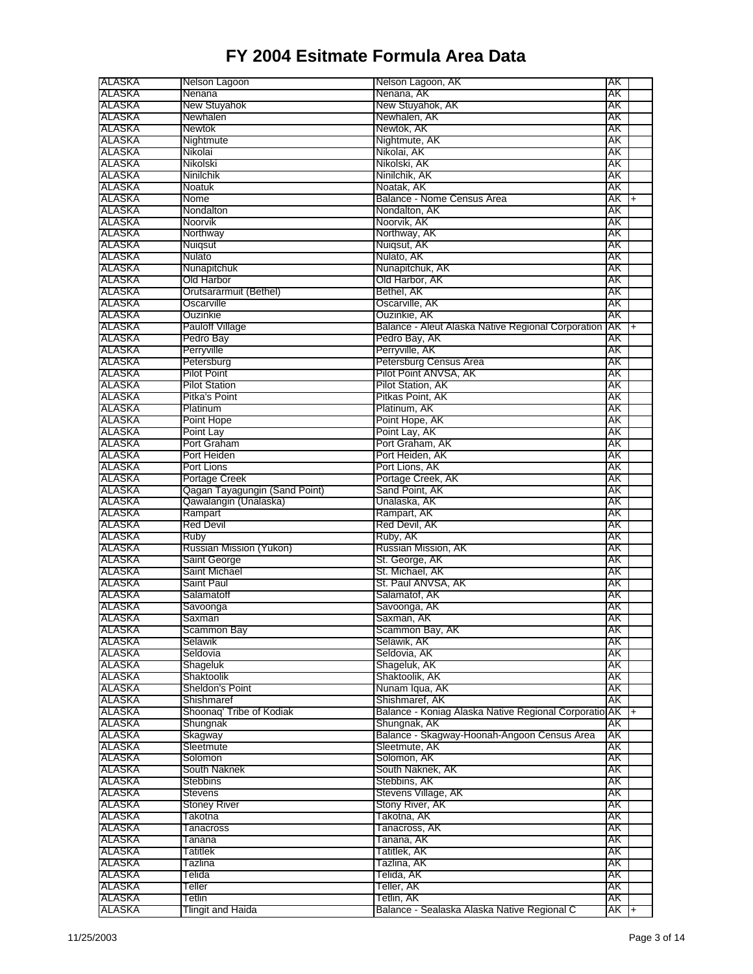| ALASKA           | Nelson Lagoon                 | Nelson Lagoon, AK                                                   | AΚ       |           |
|------------------|-------------------------------|---------------------------------------------------------------------|----------|-----------|
| ALASKA           | Nenana                        | Nenana, AK                                                          | AΚ       |           |
| ALASKA           | New Stuyahok                  | New Stuyahok, AK                                                    | AΚ       |           |
| ALASKA           | Newhalen                      | Newhalen, AK                                                        | AΚ       |           |
| ALASKA           | Newtok                        | Newtok, AK                                                          | АK       |           |
| ALASKA           | Nightmute                     | Nightmute, AK                                                       | AΚ       |           |
| ALASKA           | Nikolai                       | Nikolai, AK                                                         | AΚ       |           |
| ALASKA           | Nikolski                      | Nikolski, AK                                                        | AΚ       |           |
| ALASKA           | Ninilchik                     | Ninilchik, AK                                                       | AΚ       |           |
| ALASKA           | Noatuk                        | Noatak, AK                                                          | АK       |           |
| ALASKA           | Nome                          | Balance - Nome Census Area                                          | АK       | $\ddot{}$ |
| ALASKA           | Nondalton                     | Nondalton, AK                                                       | AΚ       |           |
| ALASKA           | Noorvik                       | Noorvik, AK                                                         | AΚ       |           |
| ALASKA           | Northway                      | Northway, AK                                                        | AΚ       |           |
| ALASKA           | Nuiqsut                       | Nuigsut, AK                                                         | AΚ       |           |
| ALASKA           | Nulato                        | Nulato, AK                                                          | AΚ       |           |
| ALASKA           | Nunapitchuk                   | Nunapitchuk, AK                                                     | AΚ       |           |
| ALASKA           | Old Harbor                    | Old Harbor, AK                                                      | AΚ       |           |
| ALASKA           | Orutsararmuit (Bethel)        | Bethel, AK                                                          | AΚ       |           |
| <b>ALASKA</b>    | Oscarville                    | Oscarville, AK                                                      | AΚ       |           |
| ALASKA           | Ouzinkie                      | Ouzinkie, AK                                                        | AΚ       |           |
| ALASKA<br>ALASKA | Pauloff Village<br>Pedro Bay  | Balance - Aleut Alaska Native Regional Corporation<br>Pedro Bay, AK | AK<br>AΚ | l+        |
|                  | Perryville                    |                                                                     |          |           |
| ALASKA<br>ALASKA | Petersburg                    | Perryville, AK<br>Petersburg Census Area                            | AΚ<br>AΚ |           |
| ALASKA           | Pilot Point                   | Pilot Point ANVSA, AK                                               | AΚ       |           |
| ALASKA           | Pilot Station                 | Pilot Station, AK                                                   | AΚ       |           |
| ALASKA           | Pitka's Point                 | Pitkas Point, AK                                                    | AΚ       |           |
| ALASKA           | Platinum                      | Platinum, AK                                                        | АK       |           |
| ALASKA           | Point Hope                    | Point Hope, AK                                                      | AΚ       |           |
| ALASKA           | Point Lay                     | Point Lay, AK                                                       | AΚ       |           |
| ALASKA           | Port Graham                   | Port Graham, AK                                                     | AΚ       |           |
| ALASKA           | Port Heiden                   | Port Heiden, AK                                                     | AΚ       |           |
| ALASKA           | Port Lions                    | Port Lions, AK                                                      | AΚ       |           |
| ALASKA           | Portage Creek                 | Portage Creek, AK                                                   | AΚ       |           |
| ALASKA           | Qagan Tayagungin (Sand Point) | Sand Point, AK                                                      | AΚ       |           |
| ALASKA           | Qawalangin (Unalaska)         | Unalaska, AK                                                        | AΚ       |           |
| <b>ALASKA</b>    | Rampart                       | Rampart, AK                                                         | AΚ       |           |
| ALASKA           | Red Devil                     | Red Devil, AK                                                       | AΚ       |           |
| ALASKA           | <b>Ruby</b>                   | Ruby, AK                                                            | AΚ       |           |
| ALASKA           | Russian Mission (Yukon)       | Russian Mission, AK                                                 | AΚ       |           |
| ALASKA           | Saint George                  | St. George, AK                                                      | AΚ       |           |
| ALASKA           | Saint Michael                 | St. Michael, AK                                                     | AΚ       |           |
| ALASKA           | Saint Paul                    | St. Paul ANVSA, AK                                                  | AΚ       |           |
| ALASKA           | Salamatoff                    | Salamatof, AK                                                       | AΚ       |           |
| ALASKA           | Savoonga                      | Savoonga, AK                                                        | AΚ       |           |
| ALASKA           | Saxman                        | Saxman, AK                                                          | AΚ       |           |
| ALASKA           | Scammon Bay                   | Scammon Bay, AK                                                     | AK       |           |
| ALASKA           | Selawik                       | Selawik, AK                                                         | AK       |           |
| ALASKA           | Seldovia                      | Seldovia, AK                                                        | AΚ       |           |
| ALASKA           | Shageluk                      | Shageluk, AK                                                        | АK       |           |
| ALASKA           | Shaktoolik                    | Shaktoolik, AK                                                      | AΚ       |           |
| ALASKA           | Sheldon's Point               | Nunam Iqua, AK                                                      | AK       |           |
| ALASKA           | Shishmaref                    | Shishmaref, AK                                                      | AK       |           |
| ALASKA           | Shoonag' Tribe of Kodiak      | Balance - Koniag Alaska Native Regional Corporatio                  | AK I+    |           |
| ALASKA           | Shungnak                      | Shungnak, AK                                                        | AK       |           |
| ALASKA           | Skagway                       | Balance - Skagway-Hoonah-Angoon Census Area<br>Sleetmute, AK        | AΚ       |           |
| ALASKA<br>ALASKA | Sleetmute<br>Solomon          | Solomon, AK                                                         | AK<br>AΚ |           |
| ALASKA           | South Naknek                  | South Naknek, AK                                                    | AK       |           |
| ALASKA           | <b>Stebbins</b>               | Stebbins, AK                                                        | AK       |           |
| ALASKA           | <b>Stevens</b>                | Stevens Village, AK                                                 | AK       |           |
| ALASKA           | <b>Stoney River</b>           | Stony River, AK                                                     | AΚ       |           |
| ALASKA           | Takotna                       | Takotna, AK                                                         | AΚ       |           |
| ALASKA           | Tanacross                     | Tanacross, AK                                                       | AK       |           |
| ALASKA           | Tanana                        | Tanana, AK                                                          | AΚ       |           |
| ALASKA           | Tatitlek                      | Tatitlek, AK                                                        | AK       |           |
| ALASKA           | Tazlina                       | Tazlina, AK                                                         | AK       |           |
| ALASKA           | Telida                        | Telida, AK                                                          | AK       |           |
| ALASKA           | Teller                        | Teller, AK                                                          | AK       |           |
| ALASKA           | Tetlin                        | Tetlin, AK                                                          | АK       |           |
| ALASKA           | Tlingit and Haida             | Balance - Sealaska Alaska Native Regional C                         | AK T+    |           |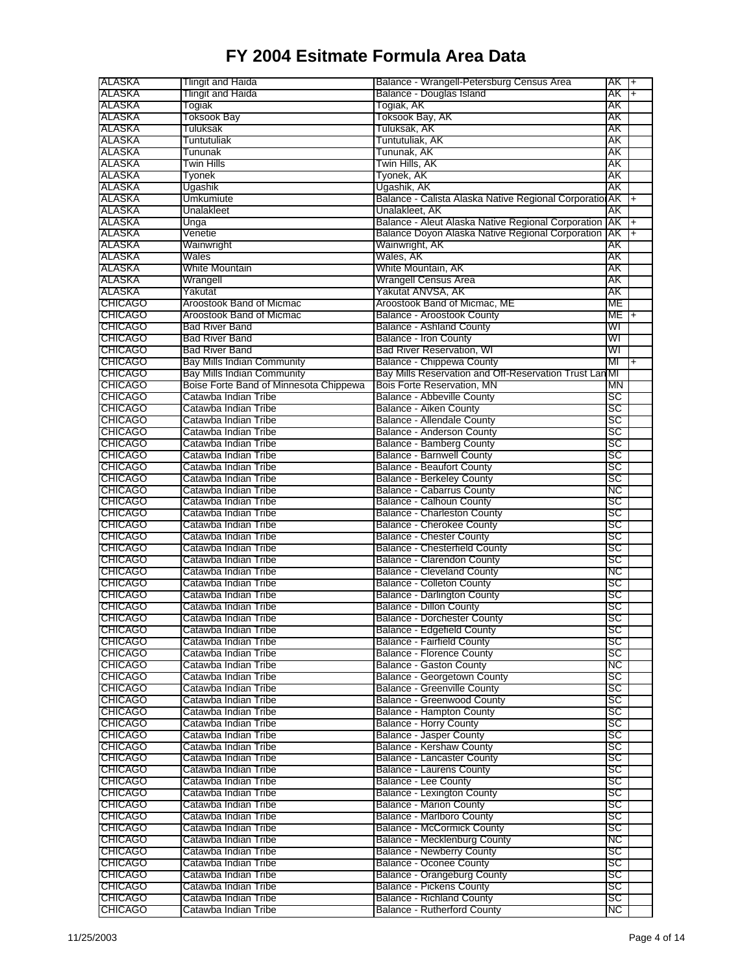| ALASKA          | <b>Tlingit and Haida</b>               | Balance - Wrangell-Petersburg Census Area              | $AK +$ |           |
|-----------------|----------------------------------------|--------------------------------------------------------|--------|-----------|
| <b>ALASKA</b>   | Tlingit and Haida                      | Balance - Douglas Island                               | AK     | $+$       |
| ALASKA          | Togiak                                 | Togiak, AK                                             | AΚ     |           |
| ALASKA          | <b>Toksook Bay</b>                     | Toksook Bay, AK                                        | AΚ     |           |
|                 |                                        |                                                        |        |           |
| ALASKA          | Tuluksak                               | Tuluksak, AK                                           | AΚ     |           |
| ALASKA          | Tuntutuliak                            | Tuntutuliak, AK                                        | AΚ     |           |
| ALASKA          | Tununak                                | Tununak, AK                                            | AΚ     |           |
| ALASKA          | Twin Hills                             | Twin Hills, AK                                         | AK     |           |
| ALASKA          | Tyonek                                 | Tyonek, AK                                             | AΚ     |           |
| ALASKA          | Ugashik                                | Ugashik, AK                                            | AΚ     |           |
| ALASKA          | Umkumiute                              | Balance - Calista Alaska Native Regional Corporatio    | AK     | $\ddot{}$ |
| ALASKA          | Unalakleet                             | Unalakleet, AK                                         | AΚ     |           |
|                 |                                        |                                                        |        |           |
| ALASKA          | Unga                                   | Balance - Aleut Alaska Native Regional Corporation     | AK     | $\ddot{}$ |
| ALASKA          | Venetie                                | Balance Doyon Alaska Native Regional Corporation       | AΚ     | Ŧ         |
| ALASKA          | Wainwright                             | Wainwright, AK                                         | AΚ     |           |
| ALASKA          | Wales                                  | Wales, AK                                              | AΚ     |           |
| ALASKA          | White Mountain                         | White Mountain, AK                                     | AΚ     |           |
| ALASKA          | Wrangell                               | Wrangell Census Area                                   | AΚ     |           |
| ALASKA          | Yakutat                                | Yakutat ANVSA, AK                                      | AΚ     |           |
| <b>CHICAGO</b>  | Aroostook Band of Micmac               | Aroostook Band of Micmac, ME                           | МE     |           |
|                 |                                        |                                                        |        |           |
| <b>ICHICAGO</b> | Aroostook Band of Micmac               | <b>Balance - Aroostook County</b>                      | МE     | $\ddot{}$ |
| <b>CHICAGO</b>  | Bad River Band                         | <b>Balance - Ashland County</b>                        | WI     |           |
| <b>CHICAGO</b>  | <b>Bad River Band</b>                  | <b>Balance - Iron County</b>                           | WI     |           |
| <b>CHICAGO</b>  | Bad River Band                         | <b>Bad River Reservation, WI</b>                       | WI     |           |
| <b>CHICAGO</b>  | <b>Bay Mills Indian Community</b>      | Balance - Chippewa County                              | ΜГ     | $\ddot{}$ |
| <b>CHICAGO</b>  | <b>Bay Mills Indian Community</b>      | Bay Mills Reservation and Off-Reservation Trust Lan MI |        |           |
| <b>CHICAGO</b>  | Boise Forte Band of Minnesota Chippewa | Bois Forte Reservation, MN                             | ΜN     |           |
| <b>CHICAGO</b>  | Catawba Indian Tribe                   | <b>Balance - Abbeville County</b>                      | SC     |           |
|                 |                                        |                                                        |        |           |
| <b>CHICAGO</b>  | Catawba Indian Tribe                   | <b>Balance - Aiken County</b>                          | SC     |           |
| <b>CHICAGO</b>  | Catawba Indian Tribe                   | <b>Balance - Allendale County</b>                      | SC     |           |
| <b>ICHICAGO</b> | Catawba Indian Tribe                   | Balance - Anderson County                              | SC     |           |
| <b>CHICAGO</b>  | Catawba Indian Tribe                   | Balance - Bamberg County                               | SC     |           |
| <b>ICHICAGO</b> | Catawba Indian Tribe                   | <b>Balance - Barnwell County</b>                       | SC     |           |
| <b>CHICAGO</b>  | Catawba Indian Tribe                   | <b>Balance - Beaufort County</b>                       | SC     |           |
| <b>CHICAGO</b>  | Catawba Indian Tribe                   | <b>Balance - Berkeley County</b>                       | SC     |           |
|                 |                                        |                                                        |        |           |
| <b>CHICAGO</b>  | Catawba Indian Tribe                   | <b>Balance - Cabarrus County</b>                       | NС     |           |
| <b>CHICAGO</b>  | Catawba Indian Tribe                   | Balance - Calhoun County                               | sc     |           |
| <b>CHICAGO</b>  | Catawba Indian Tribe                   | Balance - Charleston County                            | SC     |           |
| <b>CHICAGO</b>  | Catawba Indian Tribe                   | <b>Balance - Cherokee County</b>                       | SC     |           |
| <b>ICHICAGO</b> | Catawba Indian Tribe                   | <b>Balance - Chester County</b>                        | SC     |           |
| <b>CHICAGO</b>  | Catawba Indian Tribe                   | <b>Balance - Chesterfield County</b>                   | SC     |           |
| <b>CHICAGO</b>  | Catawba Indian Tribe                   | Balance - Clarendon County                             | SC     |           |
| <b>CHICAGO</b>  | Catawba Indian Tribe                   | <b>Balance - Cleveland County</b>                      | NС     |           |
| <b>CHICAGO</b>  | Catawba Indian Tribe                   | <b>Balance - Colleton County</b>                       | SC     |           |
|                 |                                        |                                                        |        |           |
| <b>CHICAGO</b>  | Catawba Indian Tribe                   | <b>Balance - Darlington County</b>                     | SC     |           |
| <b>CHICAGO</b>  | Catawba Indian Tribe                   | <b>Balance - Dillon County</b>                         | SC     |           |
| <b>CHICAGO</b>  | Catawba Indian Tribe                   | <b>Balance - Dorchester County</b>                     | SC     |           |
| <b>CHICAGO</b>  | Catawba Indian Tribe                   | Balance - Edgefield County                             | SC     |           |
| <b>CHICAGO</b>  | Catawba Indian Tribe                   | <b>Balance - Fairfield County</b>                      | sc     |           |
| <b>CHICAGO</b>  | Catawba Indian Tribe                   | <b>Balance - Florence County</b>                       | SC     |           |
| <b>ICHICAGO</b> | Catawba Indian Tribe                   | Balance - Gaston County                                | NC     |           |
| <b>CHICAGO</b>  | Catawba Indian Tribe                   | Balance - Georgetown County                            | SC     |           |
|                 |                                        |                                                        |        |           |
| <b>CHICAGO</b>  | Catawba Indian Tribe                   | <b>Balance - Greenville County</b>                     | SC     |           |
| <b>CHICAGO</b>  | Catawba Indian Tribe                   | <b>Balance - Greenwood County</b>                      | SC     |           |
| <b>CHICAGO</b>  | Catawba Indian Tribe                   | <b>Balance - Hampton County</b>                        | SC     |           |
| <b>CHICAGO</b>  | Catawba Indian Tribe                   | <b>Balance - Horry County</b>                          | sc     |           |
| <b>CHICAGO</b>  | Catawba Indian Tribe                   | <b>Balance - Jasper County</b>                         | sc     |           |
| <b>CHICAGO</b>  | Catawba Indian Tribe                   | <b>Balance - Kershaw County</b>                        | SC     |           |
| <b>CHICAGO</b>  | Catawba Indian Tribe                   | <b>Balance - Lancaster County</b>                      | SC     |           |
| <b>CHICAGO</b>  | Catawba Indian Tribe                   | <b>Balance - Laurens County</b>                        | SC     |           |
| <b>CHICAGO</b>  | Catawba Indian Tribe                   | <b>Balance - Lee County</b>                            | sc     |           |
|                 |                                        |                                                        |        |           |
| <b>CHICAGO</b>  | Catawba Indian Tribe                   | Balance - Lexington County                             | SC     |           |
| <b>CHICAGO</b>  | Catawba Indian Tribe                   | <b>Balance - Marion County</b>                         | SC     |           |
| <b>CHICAGO</b>  | Catawba Indian Tribe                   | <b>Balance - Marlboro County</b>                       | sc     |           |
| <b>CHICAGO</b>  | Catawba Indian Tribe                   | <b>Balance - McCormick County</b>                      | SC     |           |
| <b>CHICAGO</b>  | Catawba Indian Tribe                   | Balance - Mecklenburg County                           | NС     |           |
| <b>CHICAGO</b>  | Catawba Indian Tribe                   | <b>Balance - Newberry County</b>                       | SC     |           |
| <b>CHICAGO</b>  | Catawba Indian Tribe                   | <b>Balance - Oconee County</b>                         | SC     |           |
| <b>CHICAGO</b>  | Catawba Indian Tribe                   | <b>Balance - Orangeburg County</b>                     | SC     |           |
|                 |                                        |                                                        |        |           |
| <b>CHICAGO</b>  | Catawba Indian Tribe                   | <b>Balance - Pickens County</b>                        | SC     |           |
| <b>CHICAGO</b>  | Catawba Indian Tribe                   | <b>Balance - Richland County</b>                       | SC     |           |
| <b>CHICAGO</b>  | Catawba Indian Tribe                   | <b>Balance - Rutherford County</b>                     | NС     |           |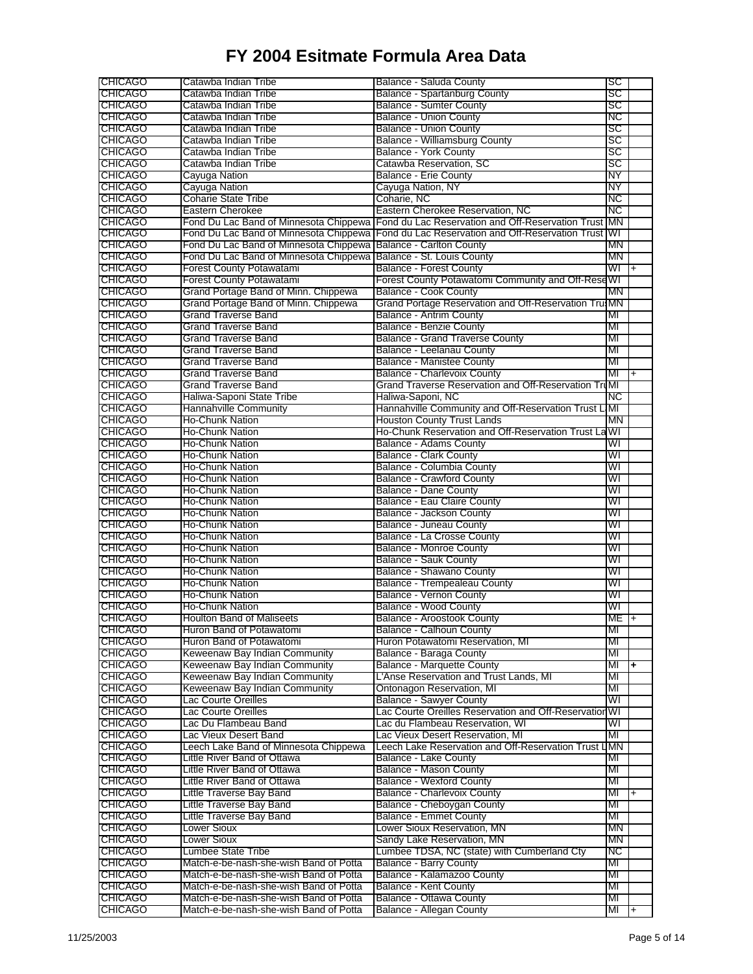| <b>ICHICAGO</b>                  | Catawba Indian Tribe                                                             | Balance - Saluda County                                    | SC               |                      |
|----------------------------------|----------------------------------------------------------------------------------|------------------------------------------------------------|------------------|----------------------|
| <b>CHICAGO</b>                   | Catawba Indian Tribe                                                             | Balance - Spartanburg County                               | SC               |                      |
| <b>CHICAGO</b>                   | Catawba Indian Tribe                                                             | <b>Balance - Sumter County</b>                             | SC               |                      |
| <b>CHICAGO</b>                   | Catawba Indian Tribe                                                             | <b>Balance - Union County</b>                              | NC               |                      |
|                                  | Catawba Indian Tribe                                                             |                                                            | SC               |                      |
| <b>CHICAGO</b>                   |                                                                                  | Balance - Union County                                     | SC               |                      |
| <b>CHICAGO</b>                   | Catawba Indian Tribe                                                             | <b>Balance - Williamsburg County</b>                       |                  |                      |
| <b>CHICAGO</b>                   | Catawba Indian Tribe                                                             | <b>Balance - York County</b>                               | SC               |                      |
| <b>CHICAGO</b>                   | Catawba Indian Tribe                                                             | Catawba Reservation, SC                                    | SC               |                      |
| <b>CHICAGO</b>                   | Cayuga Nation                                                                    | <b>Balance - Erie County</b>                               | NΥ               |                      |
| <b>CHICAGO</b>                   | Cayuga Nation                                                                    | Cayuga Nation, NY                                          | NΥ               |                      |
| <b>ICHICAGO</b>                  | <b>Coharie State Tribe</b>                                                       | Coharie, NC                                                | NC               |                      |
| <b>CHICAGO</b>                   | Eastern Cherokee                                                                 | Eastern Cherokee Reservation, NC                           | NC               |                      |
| <b>CHICAGO</b>                   | Fond Du Lac Band of Minnesota Chippewa                                           | Fond du Lac Reservation and Off-Reservation Trust MN       |                  |                      |
| <b>CHICAGO</b>                   | Fond Du Lac Band of Minnesota Chippewa                                           | Fond du Lac Reservation and Off-Reservation Trust WI       |                  |                      |
| <b>CHICAGO</b>                   | Fond Du Lac Band of Minnesota Chippewa Balance - Carlton County                  |                                                            | MΝ               |                      |
| <b>CHICAGO</b>                   | Fond Du Lac Band of Minnesota Chippewa   Balance - St. Louis County              |                                                            | MΝ               |                      |
|                                  |                                                                                  |                                                            |                  |                      |
| <b>CHICAGO</b>                   | <b>Forest County Potawatami</b>                                                  | <b>Balance - Forest County</b>                             | WI               | $+$                  |
| <b>CHICAGO</b>                   | <b>Forest County Potawatami</b>                                                  | Forest County Potawatomi Community and Off-Rese WI         |                  |                      |
| <b>CHICAGO</b>                   | Grand Portage Band of Minn. Chippewa                                             | <b>Balance - Cook County</b>                               | MΝ               |                      |
| <b>CHICAGO</b>                   | Grand Portage Band of Minn. Chippewa                                             | Grand Portage Reservation and Off-Reservation Tru MN       |                  |                      |
| <b>CHICAGO</b>                   | <b>Grand Traverse Band</b>                                                       | Balance - Antrim County                                    | ΜГ               |                      |
| <b>CHICAGO</b>                   | Grand Traverse Band                                                              | <b>Balance - Benzie County</b>                             | МГ               |                      |
| <b>CHICAGO</b>                   | <b>Grand Traverse Band</b>                                                       | <b>Balance - Grand Traverse County</b>                     | МГ               |                      |
| <b>CHICAGO</b>                   | Grand Traverse Band                                                              | Balance - Leelanau County                                  | ΜГ               |                      |
| <b>CHICAGO</b>                   | <b>Grand Traverse Band</b>                                                       | <b>Balance - Manistee County</b>                           | МГ               |                      |
| <b>CHICAGO</b>                   | <b>Grand Traverse Band</b>                                                       | <b>Balance - Charlevoix County</b>                         | MI               | $\overline{+}$       |
|                                  |                                                                                  |                                                            |                  |                      |
| <b>CHICAGO</b>                   | <b>Grand Traverse Band</b>                                                       | Grand Traverse Reservation and Off-Reservation TruMI       |                  |                      |
| <b>CHICAGO</b>                   | Haliwa-Saponi State Tribe                                                        | Haliwa-Saponi, NC                                          | NC               |                      |
| <b>CHICAGO</b>                   | <b>Hannahville Community</b>                                                     | Hannahville Community and Off-Reservation Trust LMI        |                  |                      |
| <b>CHICAGO</b>                   | <b>Ho-Chunk Nation</b>                                                           | <b>Houston County Trust Lands</b>                          | MΝ               |                      |
| <b>CHICAGO</b>                   | Ho-Chunk Nation                                                                  | Ho-Chunk Reservation and Off-Reservation Trust La WI       |                  |                      |
| <b>ICHICAGO</b>                  | <b>Ho-Chunk Nation</b>                                                           | Balance - Adams County                                     | WI               |                      |
| <b>CHICAGO</b>                   | <b>Ho-Chunk Nation</b>                                                           | <b>Balance - Clark County</b>                              | WI               |                      |
| <b>CHICAGO</b>                   | <b>Ho-Chunk Nation</b>                                                           | Balance - Columbia County                                  | WI               |                      |
|                                  |                                                                                  |                                                            |                  |                      |
| <b>CHICAGO</b>                   | <b>Ho-Chunk Nation</b>                                                           | <b>Balance - Crawford County</b>                           | WI               |                      |
| <b>CHICAGO</b>                   | Ho-Chunk Nation                                                                  | Balance - Dane County                                      | WI               |                      |
| <b>CHICAGO</b>                   | Ho-Chunk Nation                                                                  | Balance - Eau Claire County                                | WГ               |                      |
| <b>CHICAGO</b>                   | Ho-Chunk Nation                                                                  | Balance - Jackson County                                   | WI               |                      |
| <b>CHICAGO</b>                   | <b>Ho-Chunk Nation</b>                                                           | <b>Balance - Juneau County</b>                             | WI               |                      |
| <b>ICHICAGO</b>                  | <b>Ho-Chunk Nation</b>                                                           | Balance - La Crosse County                                 | WI               |                      |
| <b>CHICAGO</b>                   | <b>Ho-Chunk Nation</b>                                                           | <b>Balance - Monroe County</b>                             | WГ               |                      |
| <b>CHICAGO</b>                   | Ho-Chunk Nation                                                                  | <b>Balance - Sauk County</b>                               | WI               |                      |
| <b>CHICAGO</b>                   | Ho-Chunk Nation                                                                  | Balance - Shawano County                                   | WI               |                      |
| <b>CHICAGO</b>                   |                                                                                  |                                                            | WI               |                      |
|                                  | <b>Ho-Chunk Nation</b>                                                           | Balance - Trempealeau County                               |                  |                      |
| <b>CHICAGO</b>                   | <b>Ho-Chunk Nation</b>                                                           | <b>Balance - Vernon County</b>                             | WI               |                      |
| <b>CHICAGO</b>                   | <b>Ho-Chunk Nation</b>                                                           | <b>Balance - Wood County</b>                               | WI               |                      |
| <b>CHICAGO</b>                   | <b>Houlton Band of Maliseets</b>                                                 | Balance - Aroostook County                                 | ME <sub>1+</sub> |                      |
| CHICAGO                          | Huron Band of Potawatomi                                                         | Balance - Calhoun County                                   | MI               |                      |
| <b>CHICAGO</b>                   | Huron Band of Potawatomi                                                         | Huron Potawatomi Reservation, MI                           | МГ               |                      |
| <b>CHICAGO</b>                   | Keweenaw Bay Indian Community                                                    | Balance - Baraga County                                    | МІ               |                      |
| <b>CHICAGO</b>                   | Keweenaw Bay Indian Community                                                    | <b>Balance - Marquette County</b>                          | МГ               | $\ddot{\phantom{1}}$ |
| <b>CHICAGO</b>                   | Keweenaw Bay Indian Community                                                    | L'Anse Reservation and Trust Lands, MI                     | MI               |                      |
| <b>CHICAGO</b>                   | Keweenaw Bay Indian Community                                                    | Ontonagon Reservation, MI                                  | МГ               |                      |
|                                  |                                                                                  |                                                            | WI               |                      |
| <b>CHICAGO</b>                   | Lac Courte Oreilles                                                              | <b>Balance - Sawyer County</b>                             |                  |                      |
| <b>CHICAGO</b>                   | Lac Courte Oreilles                                                              | Lac Courte Oreilles Reservation and Off-Reservation WI     |                  |                      |
| <b>CHICAGO</b>                   | Lac Du Flambeau Band                                                             | Lac du Flambeau Reservation, WI                            | WI               |                      |
| <b>CHICAGO</b>                   | Lac Vieux Desert Band                                                            | Lac Vieux Desert Reservation, MI                           | МГ               |                      |
| <b>CHICAGO</b>                   | Leech Lake Band of Minnesota Chippewa                                            | Leech Lake Reservation and Off-Reservation Trust LIMN      |                  |                      |
| <b>CHICAGO</b>                   | Little River Band of Ottawa                                                      | Balance - Lake County                                      | МI               |                      |
| <b>CHICAGO</b>                   | Little River Band of Ottawa                                                      | <b>Balance - Mason County</b>                              | МI               |                      |
| <b>CHICAGO</b>                   | Little River Band of Ottawa                                                      | <b>Balance - Wexford County</b>                            | МГ               |                      |
| <b>CHICAGO</b>                   | Little Traverse Bay Band                                                         | <b>Balance - Charlevoix County</b>                         | МI               | $+$                  |
|                                  |                                                                                  |                                                            |                  |                      |
| <b>CHICAGO</b>                   | Little Traverse Bay Band                                                         | Balance - Cheboygan County                                 | MI               |                      |
| <b>CHICAGO</b>                   | Little Traverse Bay Band                                                         | <b>Balance - Emmet County</b>                              | МІ               |                      |
| <b>CHICAGO</b>                   | Lower Sioux                                                                      | Lower Sioux Reservation, MN                                | ΜN               |                      |
| <b>CHICAGO</b>                   | Lower Sioux                                                                      | Sandy Lake Reservation, MN                                 | ΜN               |                      |
| <b>CHICAGO</b>                   | Lumbee State Tribe                                                               | Lumbee TDSA, NC (state) with Cumberland Cty                | NС               |                      |
| <b>CHICAGO</b>                   | Match-e-be-nash-she-wish Band of Potta                                           | <b>Balance - Barry County</b>                              | MI               |                      |
| <b>CHICAGO</b>                   | Match-e-be-nash-she-wish Band of Potta                                           | Balance - Kalamazoo County                                 | МІ               |                      |
| <b>CHICAGO</b>                   |                                                                                  | <b>Balance - Kent County</b>                               | MI               |                      |
|                                  |                                                                                  |                                                            |                  |                      |
|                                  | Match-e-be-nash-she-wish Band of Potta                                           |                                                            |                  |                      |
| <b>CHICAGO</b><br><b>CHICAGO</b> | Match-e-be-nash-she-wish Band of Potta<br>Match-e-be-nash-she-wish Band of Potta | Balance - Ottawa County<br><b>Balance - Allegan County</b> | МГ<br>МI         | $\mathsf{I}$ +       |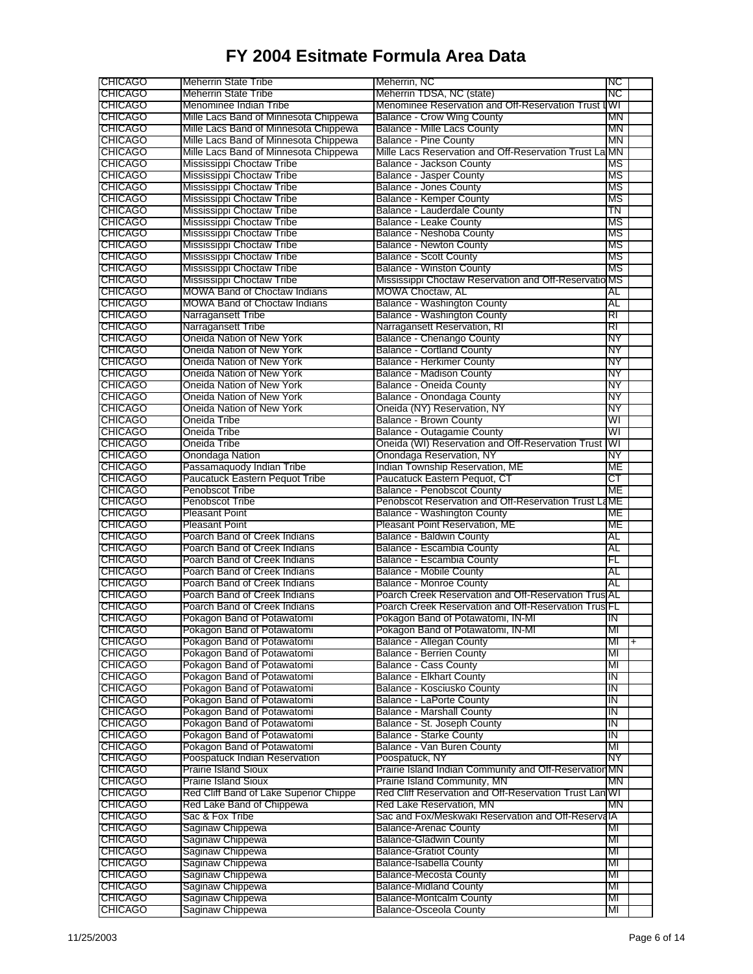| <b>CHICAGO</b>                   | <b>Meherrin State Tribe</b>            | Meherrin, NC                                           | ΙNC       |     |
|----------------------------------|----------------------------------------|--------------------------------------------------------|-----------|-----|
| <b>CHICAGO</b>                   | <b>Meherrin State Tribe</b>            | Meherrin TDSA, NC (state)                              | ΝC        |     |
| <b>CHICAGO</b>                   | Menominee Indian Tribe                 | Menominee Reservation and Off-Reservation Trust IWI    |           |     |
| <b>CHICAGO</b>                   | Mille Lacs Band of Minnesota Chippewa  | <b>Balance - Crow Wing County</b>                      | MN        |     |
| <b>CHICAGO</b>                   | Mille Lacs Band of Minnesota Chippewa  | <b>Balance - Mille Lacs County</b>                     | ΜN        |     |
| <b>CHICAGO</b>                   | Mille Lacs Band of Minnesota Chippewa  | <b>Balance - Pine County</b>                           | ΜN        |     |
| <b>CHICAGO</b>                   | Mille Lacs Band of Minnesota Chippewa  | Mille Lacs Reservation and Off-Reservation Trust La MN |           |     |
| <b>CHICAGO</b>                   | Mississippi Choctaw Tribe              | Balance - Jackson County                               | ΜS        |     |
| <b>CHICAGO</b>                   | Mississippi Choctaw Tribe              | Balance - Jasper County                                | МS        |     |
| <b>CHICAGO</b>                   | Mississippi Choctaw Tribe              | <b>Balance - Jones County</b>                          | MS        |     |
|                                  |                                        |                                                        | MS        |     |
| <b>CHICAGO</b><br><b>CHICAGO</b> | Mississippi Choctaw Tribe              | <b>Balance - Kemper County</b>                         |           |     |
|                                  | Mississippi Choctaw Tribe              | Balance - Lauderdale County                            | TN        |     |
| <b>CHICAGO</b>                   | Mississippi Choctaw Tribe              | Balance - Leake County                                 | МS        |     |
| <b>CHICAGO</b>                   | Mississippi Choctaw Tribe              | Balance - Neshoba County                               | MS        |     |
| <b>CHICAGO</b>                   | Mississippi Choctaw Tribe              | <b>Balance - Newton County</b>                         | MS        |     |
| <b>CHICAGO</b>                   | Mississippi Choctaw Tribe              | <b>Balance - Scott County</b>                          | MS        |     |
| <b>ICHICAGO</b>                  | Mississippi Choctaw Tribe              | <b>Balance - Winston County</b>                        | MS        |     |
| <b>CHICAGO</b>                   | Mississippi Choctaw Tribe              | Mississippi Choctaw Reservation and Off-Reservatio MS  |           |     |
| <b>CHICAGO</b>                   | MOWA Band of Choctaw Indians           | <b>MOWA Choctaw, AL</b>                                | AL        |     |
| <b>CHICAGO</b>                   | <b>MOWA Band of Choctaw Indians</b>    | Balance - Washington County                            | AL        |     |
| <b>CHICAGO</b>                   | Narragansett Tribe                     | <b>Balance - Washington County</b>                     | RI        |     |
| <b>CHICAGO</b>                   | Narragansett Tribe                     | Narragansett Reservation, RI                           | RI        |     |
| <b>CHICAGO</b>                   | Oneida Nation of New York              | Balance - Chenango County                              | NΥ        |     |
| <b>ICHICAGO</b>                  | Oneida Nation of New York              | <b>Balance - Cortland County</b>                       | NΥ        |     |
| <b>CHICAGO</b>                   | Oneida Nation of New York              | <b>Balance - Herkimer County</b>                       | NΥ        |     |
| <b>CHICAGO</b>                   | Oneida Nation of New York              | Balance - Madison County                               | NΥ        |     |
| <b>CHICAGO</b>                   | Oneida Nation of New York              | Balance - Oneida County                                | NY        |     |
| <b>CHICAGO</b>                   | Oneida Nation of New York              | Balance - Onondaga County                              | NΥ        |     |
| <b>CHICAGO</b>                   | Oneida Nation of New York              | Oneida (NY) Reservation, NY                            | NΥ        |     |
|                                  |                                        |                                                        |           |     |
| <b>CHICAGO</b>                   | Oneida Tribe                           | <b>Balance - Brown County</b>                          | WГ        |     |
| <b>CHICAGO</b>                   | Oneida Tribe                           | Balance - Outagamie County                             | WI        |     |
| <b>CHICAGO</b>                   | Oneida Tribe                           | Oneida (WI) Reservation and Off-Reservation Trust      | WI        |     |
| <b>CHICAGO</b>                   | Onondaga Nation                        | Onondaga Reservation, NY                               | NΥ        |     |
| <b>CHICAGO</b>                   | Passamaquody Indian Tribe              | Indian Township Reservation, ME                        | МE        |     |
| <b>CHICAGO</b>                   | <b>Paucatuck Eastern Pequot Tribe</b>  | Paucatuck Eastern Pequot, CT                           | ст        |     |
| <b>CHICAGO</b>                   | Penobscot Tribe                        | <b>Balance - Penobscot County</b>                      | МE        |     |
| <b>CHICAGO</b>                   | Penobscot Tribe                        | Penobscot Reservation and Off-Reservation Trust LaME   |           |     |
| <b>CHICAGO</b>                   | Pleasant Point                         | <b>Balance - Washington County</b>                     | МE        |     |
| <b>CHICAGO</b>                   | Pleasant Point                         | Pleasant Point Reservation, ME                         | МE        |     |
| <b>CHICAGO</b>                   | Poarch Band of Creek Indians           | Balance - Baldwin County                               | AL        |     |
| <b>CHICAGO</b>                   | Poarch Band of Creek Indians           | Balance - Escambia County                              | AL        |     |
| <b>CHICAGO</b>                   | Poarch Band of Creek Indians           | Balance - Escambia County                              | FL        |     |
| <b>CHICAGO</b>                   | Poarch Band of Creek Indians           | <b>Balance - Mobile County</b>                         | AL        |     |
| <b>CHICAGO</b>                   | Poarch Band of Creek Indians           | <b>Balance - Monroe County</b>                         | AL        |     |
| <b>CHICAGO</b>                   | Poarch Band of Creek Indians           | Poarch Creek Reservation and Off-Reservation Trus AL   |           |     |
| <b>CHICAGO</b>                   | Poarch Band of Creek Indians           | Poarch Creek Reservation and Off-Reservation Trus FL   |           |     |
| <b>CHICAGO</b>                   | Pokagon Band of Potawatomi             | Pokagon Band of Potawatomi, IN-MI                      | ΙN        |     |
| <b>CHICAGO</b>                   |                                        |                                                        |           |     |
|                                  | Pokagon Band of Potawatomi             | Pokagon Band of Potawatomi, IN-MI                      | MI        |     |
| <b>CHICAGO</b>                   | Pokagon Band of Potawatomi             | Balance - Allegan County                               | MI        | $+$ |
| <b>CHICAGO</b>                   | Pokagon Band of Potawatomi             | <b>Balance - Berrien County</b>                        | MI        |     |
| <b>CHICAGO</b>                   | Pokagon Band of Potawatomi             | <b>Balance - Cass County</b>                           | MI        |     |
| <b>CHICAGO</b>                   | Pokagon Band of Potawatomi             | <b>Balance - Elkhart County</b>                        | <b>IN</b> |     |
| <b>CHICAGO</b>                   | Pokagon Band of Potawatomi             | Balance - Kosciusko County                             | ΙN        |     |
| <b>CHICAGO</b>                   | Pokagon Band of Potawatomi             | <b>Balance - LaPorte County</b>                        | ΙN        |     |
| <b>CHICAGO</b>                   | Pokagon Band of Potawatomi             | <b>Balance - Marshall County</b>                       | ΙN        |     |
| <b>CHICAGO</b>                   | Pokagon Band of Potawatomi             | Balance - St. Joseph County                            | ΤN        |     |
| <b>CHICAGO</b>                   | Pokagon Band of Potawatomi             | <b>Balance - Starke County</b>                         | ΤN        |     |
| <b>CHICAGO</b>                   | Pokagon Band of Potawatomi             | Balance - Van Buren County                             | MI        |     |
| <b>CHICAGO</b>                   | Poospatuck Indian Reservation          | Poospatuck, NY                                         | NY        |     |
| <b>CHICAGO</b>                   | Prairie Island Sioux                   | Prairie Island Indian Community and Off-Reservation MN |           |     |
| <b>CHICAGO</b>                   | Prairie Island Sioux                   | Prairie Island Community, MN                           | MN        |     |
| <b>CHICAGO</b>                   | Red Cliff Band of Lake Superior Chippe | Red Cliff Reservation and Off-Reservation Trust Lan WI |           |     |
| <b>CHICAGO</b>                   | Red Lake Band of Chippewa              | Red Lake Reservation, MN                               | МN        |     |
| <b>CHICAGO</b>                   | Sac & Fox Tribe                        | Sac and Fox/Meskwaki Reservation and Off-ReservalA     |           |     |
| <b>CHICAGO</b>                   | Saginaw Chippewa                       | <b>Balance-Arenac County</b>                           | MI        |     |
| <b>CHICAGO</b>                   | Saginaw Chippewa                       | <b>Balance-Gladwin County</b>                          | MI        |     |
| <b>CHICAGO</b>                   | Saginaw Chippewa                       | <b>Balance-Gratiot County</b>                          | ML        |     |
| <b>CHICAGO</b>                   |                                        |                                                        | MI        |     |
|                                  | Saginaw Chippewa                       | Balance-Isabella County                                |           |     |
| <b>CHICAGO</b>                   | Saginaw Chippewa                       | <b>Balance-Mecosta County</b>                          | MI        |     |
| <b>CHICAGO</b>                   | Saginaw Chippewa                       | <b>Balance-Midland County</b>                          | MI        |     |
| <b>CHICAGO</b>                   | Saginaw Chippewa                       | <b>Balance-Montcalm County</b>                         | MI        |     |
| <b>CHICAGO</b>                   | Saginaw Chippewa                       | <b>Balance-Osceola County</b>                          | MI        |     |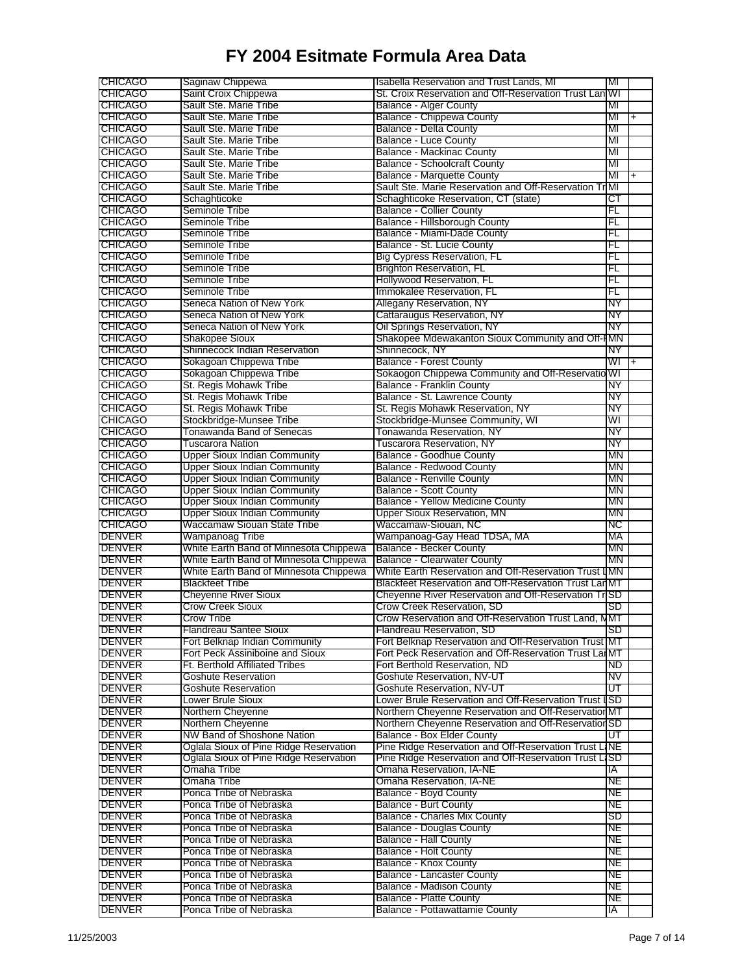| <b>CHICAGO</b>                                                                                                                                                                                                                                                                                                                                                                                                                          | Saginaw Chippewa                       | Isabella Reservation and Trust Lands, MI                         | MI        |     |
|-----------------------------------------------------------------------------------------------------------------------------------------------------------------------------------------------------------------------------------------------------------------------------------------------------------------------------------------------------------------------------------------------------------------------------------------|----------------------------------------|------------------------------------------------------------------|-----------|-----|
| <b>CHICAGO</b>                                                                                                                                                                                                                                                                                                                                                                                                                          | Saint Croix Chippewa                   | St. Croix Reservation and Off-Reservation Trust Lan WI           |           |     |
| <b>CHICAGO</b>                                                                                                                                                                                                                                                                                                                                                                                                                          | Sault Ste. Marie Tribe                 | Balance - Alger County                                           | MI        |     |
| <b>CHICAGO</b>                                                                                                                                                                                                                                                                                                                                                                                                                          | Sault Ste. Marie Tribe                 | Balance - Chippewa County                                        | МI        |     |
| <b>CHICAGO</b>                                                                                                                                                                                                                                                                                                                                                                                                                          | Sault Ste. Marie Tribe                 | Balance - Delta County                                           | MI        |     |
| <b>CHICAGO</b>                                                                                                                                                                                                                                                                                                                                                                                                                          | Sault Ste. Marie Tribe                 | Balance - Luce County                                            | MI        |     |
|                                                                                                                                                                                                                                                                                                                                                                                                                                         |                                        |                                                                  |           |     |
| <b>CHICAGO</b>                                                                                                                                                                                                                                                                                                                                                                                                                          | Sault Ste. Marie Tribe                 | <b>Balance - Mackinac County</b>                                 | MI        |     |
| <b>CHICAGO</b>                                                                                                                                                                                                                                                                                                                                                                                                                          | Sault Ste. Marie Tribe                 | <b>Balance - Schoolcraft County</b>                              | MI        |     |
| <b>CHICAGO</b>                                                                                                                                                                                                                                                                                                                                                                                                                          | Sault Ste. Marie Tribe                 | <b>Balance - Marquette County</b>                                | MI        | $+$ |
| <b>CHICAGO</b>                                                                                                                                                                                                                                                                                                                                                                                                                          | Sault Ste. Marie Tribe                 | Sault Ste. Marie Reservation and Off-Reservation TrMI            |           |     |
| <b>CHICAGO</b>                                                                                                                                                                                                                                                                                                                                                                                                                          | Schaghticoke                           | Schaghticoke Reservation, CT (state)                             | ст        |     |
| <b>CHICAGO</b>                                                                                                                                                                                                                                                                                                                                                                                                                          | Seminole Tribe                         | <b>Balance - Collier County</b>                                  | FL        |     |
| <b>CHICAGO</b>                                                                                                                                                                                                                                                                                                                                                                                                                          | Seminole Tribe                         | Balance - Hillsborough County                                    | FL        |     |
| <b>CHICAGO</b>                                                                                                                                                                                                                                                                                                                                                                                                                          | Seminole Tribe                         | Balance - Miami-Dade County                                      | FL        |     |
|                                                                                                                                                                                                                                                                                                                                                                                                                                         | Seminole Tribe                         |                                                                  |           |     |
| <b>CHICAGO</b>                                                                                                                                                                                                                                                                                                                                                                                                                          |                                        | Balance - St. Lucie County                                       | FL        |     |
| <b>CHICAGO</b>                                                                                                                                                                                                                                                                                                                                                                                                                          | Seminole Tribe                         | Big Cypress Reservation, FL                                      | FL        |     |
| <b>CHICAGO</b>                                                                                                                                                                                                                                                                                                                                                                                                                          | Seminole Tribe                         | Brighton Reservation, FL                                         | FL        |     |
| <b>CHICAGO</b>                                                                                                                                                                                                                                                                                                                                                                                                                          | Seminole Tribe                         | Hollywood Reservation, FL                                        | FL        |     |
| <b>CHICAGO</b>                                                                                                                                                                                                                                                                                                                                                                                                                          | Seminole Tribe                         | Immokalee Reservation, FL                                        | FL        |     |
| <b>CHICAGO</b>                                                                                                                                                                                                                                                                                                                                                                                                                          | Seneca Nation of New York              | Allegany Reservation, NY                                         | NY        |     |
| <b>CHICAGO</b>                                                                                                                                                                                                                                                                                                                                                                                                                          | Seneca Nation of New York              | Cattaraugus Reservation, NY                                      | NΥ        |     |
| <b>CHICAGO</b>                                                                                                                                                                                                                                                                                                                                                                                                                          | Seneca Nation of New York              |                                                                  | NΥ        |     |
|                                                                                                                                                                                                                                                                                                                                                                                                                                         |                                        | Oil Springs Reservation, NY                                      |           |     |
| <b>CHICAGO</b>                                                                                                                                                                                                                                                                                                                                                                                                                          | Shakopee Sioux                         | Shakopee Mdewakanton Sioux Community and Off-IMN                 |           |     |
| <b>CHICAGO</b>                                                                                                                                                                                                                                                                                                                                                                                                                          | Shinnecock Indian Reservation          | Shinnecock, NY                                                   | NΥ        |     |
| <b>CHICAGO</b>                                                                                                                                                                                                                                                                                                                                                                                                                          | Sokagoan Chippewa Tribe                | <b>Balance - Forest County</b>                                   | WГ        | $+$ |
| <b>CHICAGO</b>                                                                                                                                                                                                                                                                                                                                                                                                                          | Sokagoan Chippewa Tribe                | Sokaogon Chippewa Community and Off-Reservatio WI                |           |     |
| <b>CHICAGO</b>                                                                                                                                                                                                                                                                                                                                                                                                                          | St. Regis Mohawk Tribe                 | Balance - Franklin County                                        | NY        |     |
| <b>CHICAGO</b>                                                                                                                                                                                                                                                                                                                                                                                                                          | St. Regis Mohawk Tribe                 | Balance - St. Lawrence County                                    | NΥ        |     |
| <b>CHICAGO</b>                                                                                                                                                                                                                                                                                                                                                                                                                          | St. Regis Mohawk Tribe                 | St. Regis Mohawk Reservation, NY                                 | NΥ        |     |
|                                                                                                                                                                                                                                                                                                                                                                                                                                         |                                        |                                                                  |           |     |
| <b>CHICAGO</b>                                                                                                                                                                                                                                                                                                                                                                                                                          | Stockbridge-Munsee Tribe               | Stockbridge-Munsee Community, WI                                 | WI        |     |
| <b>CHICAGO</b>                                                                                                                                                                                                                                                                                                                                                                                                                          | Tonawanda Band of Senecas              | Tonawanda Reservation, NY                                        | NΥ        |     |
| <b>CHICAGO</b>                                                                                                                                                                                                                                                                                                                                                                                                                          | Tuscarora Nation                       | Tuscarora Reservation, NY                                        | NΥ        |     |
| <b>CHICAGO</b>                                                                                                                                                                                                                                                                                                                                                                                                                          | <b>Upper Sioux Indian Community</b>    | <b>Balance - Goodhue County</b>                                  | ΜN        |     |
| <b>CHICAGO</b>                                                                                                                                                                                                                                                                                                                                                                                                                          | <b>Upper Sioux Indian Community</b>    | Balance - Redwood County                                         | ΜN        |     |
| <b>CHICAGO</b>                                                                                                                                                                                                                                                                                                                                                                                                                          | <b>Upper Sioux Indian Community</b>    | <b>Balance - Renville County</b>                                 | MN        |     |
| <b>CHICAGO</b>                                                                                                                                                                                                                                                                                                                                                                                                                          | Upper Sioux Indian Community           | <b>Balance - Scott County</b>                                    | MN        |     |
|                                                                                                                                                                                                                                                                                                                                                                                                                                         |                                        |                                                                  |           |     |
| <b>CHICAGO</b>                                                                                                                                                                                                                                                                                                                                                                                                                          | <b>Upper Sioux Indian Community</b>    | <b>Balance - Yellow Medicine County</b>                          | ΜN        |     |
| <b>CHICAGO</b>                                                                                                                                                                                                                                                                                                                                                                                                                          | <b>Upper Sioux Indian Community</b>    | <b>Upper Sioux Reservation, MN</b>                               | MN        |     |
| <b>CHICAGO</b>                                                                                                                                                                                                                                                                                                                                                                                                                          | Waccamaw Siouan State Tribe            | Waccamaw-Siouan, NC                                              | NC.       |     |
|                                                                                                                                                                                                                                                                                                                                                                                                                                         | Wampanoag Tribe                        | Wampanoag-Gay Head TDSA, MA                                      | МA        |     |
|                                                                                                                                                                                                                                                                                                                                                                                                                                         |                                        |                                                                  |           |     |
|                                                                                                                                                                                                                                                                                                                                                                                                                                         |                                        |                                                                  | MN        |     |
|                                                                                                                                                                                                                                                                                                                                                                                                                                         | White Earth Band of Minnesota Chippewa | <b>Balance - Becker County</b>                                   |           |     |
|                                                                                                                                                                                                                                                                                                                                                                                                                                         | White Earth Band of Minnesota Chippewa | <b>Balance - Clearwater County</b>                               | MN        |     |
|                                                                                                                                                                                                                                                                                                                                                                                                                                         | White Earth Band of Minnesota Chippewa | White Earth Reservation and Off-Reservation Trust IMN            |           |     |
|                                                                                                                                                                                                                                                                                                                                                                                                                                         | Blackfeet Tribe                        | Blackfeet Reservation and Off-Reservation Trust LanMT            |           |     |
|                                                                                                                                                                                                                                                                                                                                                                                                                                         | <b>Cheyenne River Sioux</b>            | Cheyenne River Reservation and Off-Reservation TriSD             |           |     |
|                                                                                                                                                                                                                                                                                                                                                                                                                                         | Crow Creek Sioux                       | <b>Crow Creek Reservation, SD</b>                                | SD        |     |
|                                                                                                                                                                                                                                                                                                                                                                                                                                         | Crow Tribe                             | Crow Reservation and Off-Reservation Trust Land, NMT             |           |     |
|                                                                                                                                                                                                                                                                                                                                                                                                                                         | Handreau Santee Sioux                  | Flandreau Reservation, SD                                        | SD.       |     |
|                                                                                                                                                                                                                                                                                                                                                                                                                                         |                                        |                                                                  |           |     |
|                                                                                                                                                                                                                                                                                                                                                                                                                                         | Fort Belknap Indian Community          | Fort Belknap Reservation and Off-Reservation Trust MT            |           |     |
|                                                                                                                                                                                                                                                                                                                                                                                                                                         | Fort Peck Assiniboine and Sioux        | Fort Peck Reservation and Off-Reservation Trust LanMT            |           |     |
|                                                                                                                                                                                                                                                                                                                                                                                                                                         | Ft. Berthold Affiliated Tribes         | Fort Berthold Reservation, ND                                    | ND.       |     |
|                                                                                                                                                                                                                                                                                                                                                                                                                                         | <b>Goshute Reservation</b>             | Goshute Reservation, NV-UT                                       | NV        |     |
|                                                                                                                                                                                                                                                                                                                                                                                                                                         | Goshute Reservation                    | Goshute Reservation, NV-UT                                       | UΤ        |     |
|                                                                                                                                                                                                                                                                                                                                                                                                                                         | Lower Brule Sioux                      | Lower Brule Reservation and Off-Reservation Trust ISD            |           |     |
|                                                                                                                                                                                                                                                                                                                                                                                                                                         | Northern Cheyenne                      | Northern Cheyenne Reservation and Off-Reservation MT             |           |     |
|                                                                                                                                                                                                                                                                                                                                                                                                                                         |                                        |                                                                  |           |     |
|                                                                                                                                                                                                                                                                                                                                                                                                                                         | Northern Cheyenne                      | Northern Cheyenne Reservation and Off-Reservation SD             | णा        |     |
|                                                                                                                                                                                                                                                                                                                                                                                                                                         | NW Band of Shoshone Nation             | <b>Balance - Box Elder County</b>                                |           |     |
|                                                                                                                                                                                                                                                                                                                                                                                                                                         | Oglala Sioux of Pine Ridge Reservation | Pine Ridge Reservation and Off-Reservation Trust LINE            |           |     |
|                                                                                                                                                                                                                                                                                                                                                                                                                                         | Oglala Sioux of Pine Ridge Reservation | Pine Ridge Reservation and Off-Reservation Trust La              | SD        |     |
|                                                                                                                                                                                                                                                                                                                                                                                                                                         | Omaha Tribe                            | Omaha Reservation, IA-NE                                         | IA        |     |
|                                                                                                                                                                                                                                                                                                                                                                                                                                         | Omaha Tribe                            | Omaha Reservation, IA-NE                                         | NE        |     |
|                                                                                                                                                                                                                                                                                                                                                                                                                                         | Ponca Tribe of Nebraska                | Balance - Boyd County                                            | NE        |     |
|                                                                                                                                                                                                                                                                                                                                                                                                                                         | Ponca Tribe of Nebraska                |                                                                  | NE        |     |
|                                                                                                                                                                                                                                                                                                                                                                                                                                         |                                        | <b>Balance - Burt County</b>                                     |           |     |
|                                                                                                                                                                                                                                                                                                                                                                                                                                         | Ponca Tribe of Nebraska                | <b>Balance - Charles Mix County</b>                              | SD        |     |
|                                                                                                                                                                                                                                                                                                                                                                                                                                         | Ponca Tribe of Nebraska                | <b>Balance - Douglas County</b>                                  | NE        |     |
|                                                                                                                                                                                                                                                                                                                                                                                                                                         | Ponca Tribe of Nebraska                | <b>Balance - Hall County</b>                                     | NE        |     |
| <b>DENVER</b><br>DENVER<br><b>DENVER</b><br><b>DENVER</b><br><b>DENVER</b><br><b>DENVER</b><br>DENVER<br><b>DENVER</b><br>DENVER<br><b>DENVER</b><br><b>DENVER</b><br><b>DENVER</b><br><b>DENVER</b><br>DENVER<br><b>DENVER</b><br><b>DENVER</b><br><b>DENVER</b><br><b>DENVER</b><br><b>DENVER</b><br><b>DENVER</b><br>DENVER<br><b>DENVER</b><br>DENVER<br><b>DENVER</b><br><b>DENVER</b><br>DENVER<br><b>DENVER</b><br><b>DENVER</b> | Ponca Tribe of Nebraska                | Balance - Holt County                                            | NE        |     |
| <b>DENVER</b>                                                                                                                                                                                                                                                                                                                                                                                                                           | Ponca Tribe of Nebraska                | <b>Balance - Knox County</b>                                     | NE        |     |
| DENVER                                                                                                                                                                                                                                                                                                                                                                                                                                  | Ponca Tribe of Nebraska                | <b>Balance - Lancaster County</b>                                | NE        |     |
| <b>DENVER</b>                                                                                                                                                                                                                                                                                                                                                                                                                           | Ponca Tribe of Nebraska                | <b>Balance - Madison County</b>                                  | NE        |     |
|                                                                                                                                                                                                                                                                                                                                                                                                                                         | Ponca Tribe of Nebraska                |                                                                  |           |     |
| <b>DENVER</b><br><b>DENVER</b>                                                                                                                                                                                                                                                                                                                                                                                                          | Ponca Tribe of Nebraska                | <b>Balance - Platte County</b><br>Balance - Pottawattamie County | NЕ<br>IA. |     |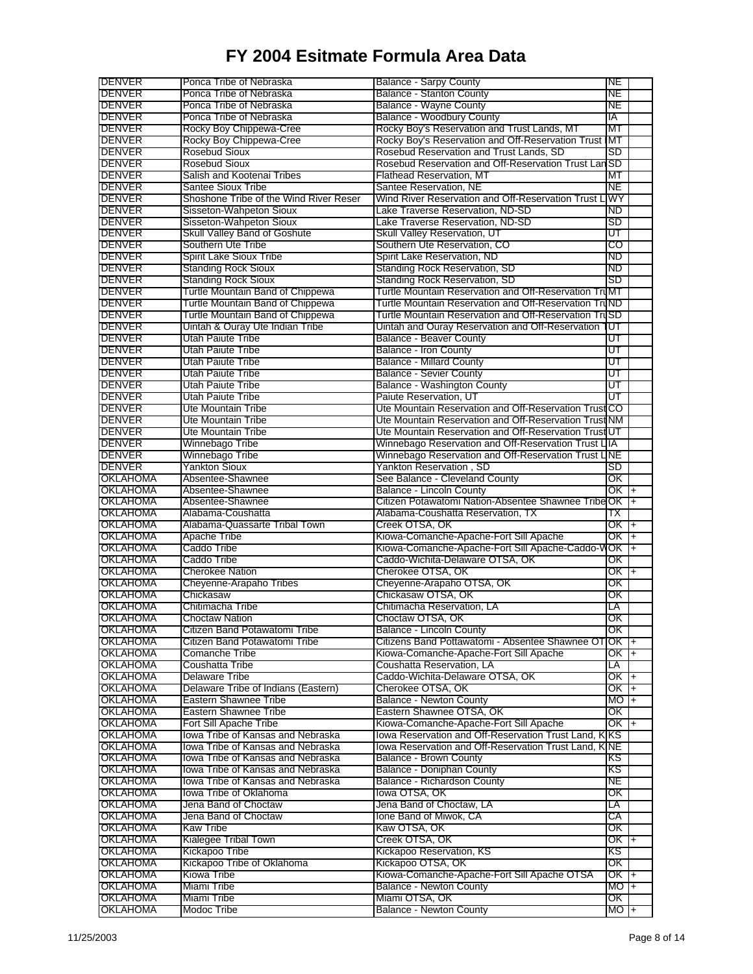| DENVER                                                                                                                                                                                                                                                                                 | Ponca Tribe of Nebraska                | <b>Balance - Sarpy County</b>                          | NE                |  |
|----------------------------------------------------------------------------------------------------------------------------------------------------------------------------------------------------------------------------------------------------------------------------------------|----------------------------------------|--------------------------------------------------------|-------------------|--|
| <b>DENVER</b>                                                                                                                                                                                                                                                                          | Ponca Tribe of Nebraska                | <b>Balance - Stanton County</b>                        | NE                |  |
| <b>DENVER</b>                                                                                                                                                                                                                                                                          | Ponca Tribe of Nebraska                | <b>Balance - Wayne County</b>                          | NE                |  |
| DENVER                                                                                                                                                                                                                                                                                 | Ponca Tribe of Nebraska                | <b>Balance - Woodbury County</b>                       | ΙA                |  |
| DENVER                                                                                                                                                                                                                                                                                 | Rocky Boy Chippewa-Cree                | Rocky Boy's Reservation and Trust Lands, MT            | МΤ                |  |
| <b>DENVER</b>                                                                                                                                                                                                                                                                          | Rocky Boy Chippewa-Cree                | Rocky Boy's Reservation and Off-Reservation Trust IMT  |                   |  |
| <b>DENVER</b>                                                                                                                                                                                                                                                                          | <b>Rosebud Sioux</b>                   | Rosebud Reservation and Trust Lands, SD                | <b>SD</b>         |  |
| <b>DENVER</b>                                                                                                                                                                                                                                                                          | <b>Rosebud Sioux</b>                   | Rosebud Reservation and Off-Reservation Trust Lan SD   |                   |  |
| <b>DENVER</b>                                                                                                                                                                                                                                                                          | Salish and Kootenai Tribes             | Flathead Reservation, MT                               | МT                |  |
| DENVER                                                                                                                                                                                                                                                                                 | <b>Santee Sioux Tribe</b>              | Santee Reservation, NE                                 | NE                |  |
| <b>DENVER</b>                                                                                                                                                                                                                                                                          | Shoshone Tribe of the Wind River Reser | Wind River Reservation and Off-Reservation Trust LIWY  |                   |  |
| <b>DENVER</b>                                                                                                                                                                                                                                                                          | Sisseton-Wahpeton Sioux                | Lake Traverse Reservation, ND-SD                       | ND.               |  |
| <b>DENVER</b>                                                                                                                                                                                                                                                                          | Sisseton-Wahpeton Sioux                | Lake Traverse Reservation, ND-SD                       | SD                |  |
| DENVER                                                                                                                                                                                                                                                                                 | <b>Skull Valley Band of Goshute</b>    | <b>Skull Valley Reservation, UT</b>                    | णा                |  |
| DENVER                                                                                                                                                                                                                                                                                 | Southern Ute Tribe                     | Southern Ute Reservation, CO                           | CO                |  |
| <b>DENVER</b>                                                                                                                                                                                                                                                                          | <b>Spirit Lake Sioux Tribe</b>         | Spirit Lake Reservation, ND                            | ND                |  |
| DENVER                                                                                                                                                                                                                                                                                 | <b>Standing Rock Sioux</b>             | Standing Rock Reservation, SD                          | ND                |  |
| <b>DENVER</b>                                                                                                                                                                                                                                                                          | <b>Standing Rock Sioux</b>             | Standing Rock Reservation, SD                          | SD                |  |
| <b>DENVER</b>                                                                                                                                                                                                                                                                          | Turtle Mountain Band of Chippewa       | Turtle Mountain Reservation and Off-Reservation TruMT  |                   |  |
| <b>DENVER</b>                                                                                                                                                                                                                                                                          | Turtle Mountain Band of Chippewa       | Turtle Mountain Reservation and Off-Reservation TruND  |                   |  |
| <b>DENVER</b>                                                                                                                                                                                                                                                                          | Turtle Mountain Band of Chippewa       | Turtle Mountain Reservation and Off-Reservation TruSD  |                   |  |
| <b>DENVER</b>                                                                                                                                                                                                                                                                          | Uintah & Ouray Ute Indian Tribe        | Uintah and Ouray Reservation and Off-Reservation       | ण                 |  |
| <b>DENVER</b>                                                                                                                                                                                                                                                                          | Utah Paiute Tribe                      | <b>Balance - Beaver County</b>                         | UΤ                |  |
| <b>DENVER</b>                                                                                                                                                                                                                                                                          | Utah Paiute Tribe                      | <b>Balance - Iron County</b>                           | UΤ                |  |
| <b>DENVER</b>                                                                                                                                                                                                                                                                          | Utah Paiute Tribe                      | <b>Balance - Millard County</b>                        | UΤ                |  |
| DENVER                                                                                                                                                                                                                                                                                 | Utah Paiute Tribe                      | <b>Balance - Sevier County</b>                         | UΤ                |  |
| <b>DENVER</b>                                                                                                                                                                                                                                                                          | Utah Paiute Tribe                      | Balance - Washington County                            | UT                |  |
| <b>DENVER</b>                                                                                                                                                                                                                                                                          | Utah Paiute Tribe                      | Paiute Reservation, UT                                 | ᡨ                 |  |
| DENVER                                                                                                                                                                                                                                                                                 | Ute Mountain Tribe                     | Ute Mountain Reservation and Off-Reservation Trust CO  |                   |  |
| <b>DENVER</b>                                                                                                                                                                                                                                                                          | Ute Mountain Tribe                     | Ute Mountain Reservation and Off-Reservation Trust NM  |                   |  |
| <b>DENVER</b>                                                                                                                                                                                                                                                                          | Ute Mountain Tribe                     | Ute Mountain Reservation and Off-Reservation Trust UT  |                   |  |
| <b>DENVER</b>                                                                                                                                                                                                                                                                          | Winnebago Tribe                        | Winnebago Reservation and Off-Reservation Trust UIA    |                   |  |
| <b>DENVER</b>                                                                                                                                                                                                                                                                          | Winnebago Tribe                        | Winnebago Reservation and Off-Reservation Trust LINE   |                   |  |
| <b>DENVER</b>                                                                                                                                                                                                                                                                          | <b>Yankton Sioux</b>                   | Yankton Reservation, SD                                | SD                |  |
| OKLAHOMA                                                                                                                                                                                                                                                                               | Absentee-Shawnee                       | See Balance - Cleveland County                         | OK                |  |
| OKLAHOMA                                                                                                                                                                                                                                                                               | Absentee-Shawnee                       | Balance - Lincoln County                               | $OK +$            |  |
| OKLAHOMA                                                                                                                                                                                                                                                                               | Absentee-Shawnee                       | Citizen Potawatomi Nation-Absentee Shawnee Tribe OK  + |                   |  |
| <b>OKLAHOMA</b>                                                                                                                                                                                                                                                                        | Alabama-Coushatta                      | Alabama-Coushatta Reservation, TX                      | ТX                |  |
| OKLAHOMA                                                                                                                                                                                                                                                                               | Alabama-Quassarte Tribal Town          | Creek OTSA, OK                                         | OK I+             |  |
| OKLAHOMA                                                                                                                                                                                                                                                                               | Apache Tribe                           | Kiowa-Comanche-Apache-Fort Sill Apache                 | OK T+             |  |
| OKLAHOMA                                                                                                                                                                                                                                                                               | Caddo Tribe                            | Kiowa-Comanche-Apache-Fort Sill Apache-Caddo-V         | OK 1+             |  |
| <b>OKLAHOMA</b>                                                                                                                                                                                                                                                                        | Caddo Tribe                            | Caddo-Wichita-Delaware OTSA, OK                        | OK                |  |
| OKLAHOMA                                                                                                                                                                                                                                                                               | <b>Cherokee Nation</b>                 | Cherokee OTSA, OK                                      | $OK +$            |  |
| OKLAHOMA                                                                                                                                                                                                                                                                               | Cheyenne-Arapaho Tribes                | Cheyenne-Arapaho OTSA, OK                              | OK                |  |
| <b>OKLAHOMA</b>                                                                                                                                                                                                                                                                        | Chickasaw                              | Chickasaw OTSA, OK                                     | OK                |  |
| OKLAHOMA                                                                                                                                                                                                                                                                               | Chitimacha Tribe                       | Chitimacha Reservation, LA                             | LA                |  |
| <b>OKLAHOMA</b>                                                                                                                                                                                                                                                                        | <b>Choctaw Nation</b>                  | Choctaw OTSA, OK                                       |                   |  |
| OKLAHOMA                                                                                                                                                                                                                                                                               |                                        |                                                        |                   |  |
|                                                                                                                                                                                                                                                                                        |                                        |                                                        | ОК                |  |
|                                                                                                                                                                                                                                                                                        | Citizen Band Potawatomi Tribe          | Balance - Lincoln County                               | OK.               |  |
|                                                                                                                                                                                                                                                                                        | Citizen Band Potawatomi Tribe          | Citizens Band Pottawatomi - Absentee Shawnee OTIOK 1+  |                   |  |
|                                                                                                                                                                                                                                                                                        | Comanche Tribe                         | Kiowa-Comanche-Apache-Fort Sill Apache                 | OK T+             |  |
|                                                                                                                                                                                                                                                                                        | Coushatta Tribe                        | Coushatta Reservation, LA                              | LA                |  |
|                                                                                                                                                                                                                                                                                        | <b>Delaware Tribe</b>                  | Caddo-Wichita-Delaware OTSA, OK                        | OK I+             |  |
|                                                                                                                                                                                                                                                                                        | Delaware Tribe of Indians (Eastern)    | Cherokee OTSA, OK                                      | OK +              |  |
|                                                                                                                                                                                                                                                                                        | Eastern Shawnee Tribe                  | <b>Balance - Newton County</b>                         | MO <sub>I</sub> + |  |
|                                                                                                                                                                                                                                                                                        | Eastern Shawnee Tribe                  | Eastern Shawnee OTSA, OK                               | OK                |  |
|                                                                                                                                                                                                                                                                                        | Fort Sill Apache Tribe                 | Kiowa-Comanche-Apache-Fort Sill Apache                 | OK +              |  |
|                                                                                                                                                                                                                                                                                        | lowa Tribe of Kansas and Nebraska      | lowa Reservation and Off-Reservation Trust Land, KKS   |                   |  |
|                                                                                                                                                                                                                                                                                        | lowa Tribe of Kansas and Nebraska      | lowa Reservation and Off-Reservation Trust Land, KINE  |                   |  |
|                                                                                                                                                                                                                                                                                        | lowa Tribe of Kansas and Nebraska      | Balance - Brown County                                 | KS                |  |
|                                                                                                                                                                                                                                                                                        | lowa Tribe of Kansas and Nebraska      | Balance - Doniphan County                              | KS                |  |
|                                                                                                                                                                                                                                                                                        | lowa Tribe of Kansas and Nebraska      | Balance - Richardson County                            | NE                |  |
|                                                                                                                                                                                                                                                                                        | lowa Tribe of Oklahoma                 | lowa OTSA, OK                                          | OK                |  |
|                                                                                                                                                                                                                                                                                        | Jena Band of Choctaw                   | Jena Band of Choctaw, LA                               | LA                |  |
|                                                                                                                                                                                                                                                                                        | Jena Band of Choctaw                   | Ione Band of Miwok, CA                                 | СA                |  |
|                                                                                                                                                                                                                                                                                        | Kaw Tribe                              | Kaw OTSA, OK                                           | OK                |  |
|                                                                                                                                                                                                                                                                                        | Kialegee Tribal Town                   | Creek OTSA, OK                                         | OK +              |  |
|                                                                                                                                                                                                                                                                                        | Kickapoo Tribe                         | Kickapoo Reservation, KS                               | KS                |  |
| OKLAHOMA<br><b>OKLAHOMA</b><br>OKLAHOMA<br><b>OKLAHOMA</b><br>OKLAHOMA<br>OKLAHOMA<br>OKLAHOMA<br>OKLAHOMA<br>OKLAHOMA<br>OKLAHOMA<br><b>OKLAHOMA</b><br><b>OKLAHOMA</b><br><b>OKLAHOMA</b><br>OKLAHOMA<br><b>OKLAHOMA</b><br>OKLAHOMA<br>OKLAHOMA<br>OKLAHOMA<br>OKLAHOMA<br>OKLAHOMA | Kickapoo Tribe of Oklahoma             | Kickapoo OTSA, OK                                      | OK                |  |
|                                                                                                                                                                                                                                                                                        | Kiowa Tribe                            | Kiowa-Comanche-Apache-Fort Sill Apache OTSA            | OK +              |  |
| <b>OKLAHOMA</b><br><b>OKLAHOMA</b>                                                                                                                                                                                                                                                     | Miami Tribe                            | <b>Balance - Newton County</b>                         | H OM              |  |
| OKLAHOMA<br>OKLAHOMA                                                                                                                                                                                                                                                                   | Miami Tribe<br>Modoc Tribe             | Miami OTSA, OK<br><b>Balance - Newton County</b>       | OK<br>$MO +$      |  |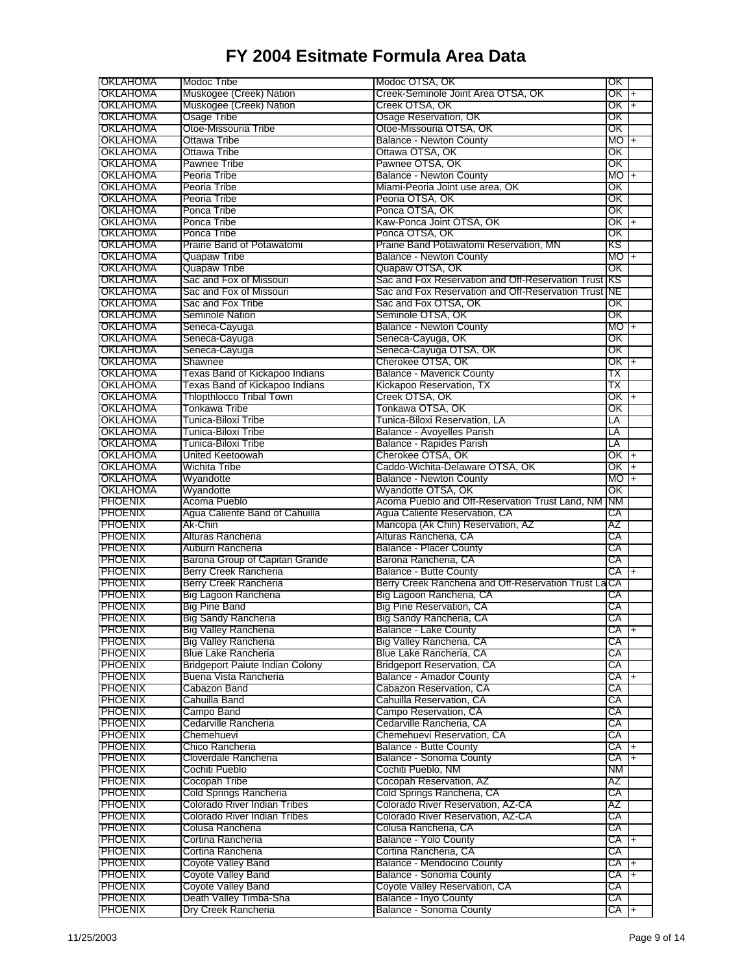| OKLAHOMA        | Modoc Tribe                            | Modoc OTSA, OK                                       | OK        |                |
|-----------------|----------------------------------------|------------------------------------------------------|-----------|----------------|
| <b>OKLAHOMA</b> | Muskogee (Creek) Nation                | Creek-Seminole Joint Area OTSA, OK                   | OK        | $\ddot{}$      |
| OKLAHOMA        | Muskogee (Creek) Nation                | Creek OTSA, OK                                       | OK T+     |                |
| OKLAHOMA        | Osage Tribe                            | Osage Reservation, OK                                | OK        |                |
| OKLAHOMA        | Otoe-Missouria Tribe                   | Otoe-Missouria OTSA, OK                              | ОK        |                |
| OKLAHOMA        | Ottawa Tribe                           | <b>Balance - Newton County</b>                       | <b>MO</b> | $+$            |
| <b>OKLAHOMA</b> | Ottawa Tribe                           | Ottawa OTSA, OK                                      | ОΚ        |                |
| OKLAHOMA        | Pawnee Tribe                           | Pawnee OTSA, OK                                      | OΚ        |                |
| <b>OKLAHOMA</b> | Peoria Tribe                           | <b>Balance - Newton County</b>                       | МO        | $\overline{+}$ |
| OKLAHOMA        | Peoria Tribe                           | Miami-Peoria Joint use area, OK                      | OK        |                |
| OKLAHOMA        | Peoria Tribe                           | Peoria OTSA, OK                                      | OK        |                |
| OKLAHOMA        | Ponca Tribe                            | Ponca OTSA, OK                                       | ΟK        |                |
| OKLAHOMA        | Ponca Tribe                            | Kaw-Ponca Joint OTSA, OK                             | OK I      | l+             |
| OKLAHOMA        | Ponca Tribe                            | Ponca OTSA, OK                                       | ОΚ        |                |
| OKLAHOMA        | Prairie Band of Potawatomi             | Prairie Band Potawatomi Reservation, MN              | κs        |                |
| OKLAHOMA        | Quapaw Tribe                           | <b>Balance - Newton County</b>                       | MO        | $\ddagger$     |
| OKLAHOMA        | <b>Quapaw Tribe</b>                    | Quapaw OTSA, OK                                      | OΚ        |                |
| OKLAHOMA        | Sac and Fox of Missouri                | Sac and Fox Reservation and Off-Reservation Trust KS |           |                |
| OKLAHOMA        | Sac and Fox of Missouri                | Sac and Fox Reservation and Off-Reservation Trust    | NЕ        |                |
| <b>OKLAHOMA</b> | Sac and Fox Tribe                      | Sac and Fox OTSA, OK                                 | OK        |                |
| OKLAHOMA        | <b>Seminole Nation</b>                 | Seminole OTSA, OK                                    | ОΚ        |                |
| OKLAHOMA        | Seneca-Cayuga                          | <b>Balance - Newton County</b>                       | $MO +$    |                |
| OKLAHOMA        | Seneca-Cayuga                          | Seneca-Cayuga, OK                                    | OK        |                |
| OKLAHOMA        | Seneca-Cayuga                          | Seneca-Cayuga OTSA, OK                               | ΟK        |                |
| OKLAHOMA        | Shawnee                                | Cherokee OTSA, OK                                    | OK        | $+$            |
| OKLAHOMA        | Texas Band of Kickapoo Indians         | <b>Balance - Maverick County</b>                     | ΤХ        |                |
| <b>OKLAHOMA</b> | Texas Band of Kickapoo Indians         | Kickapoo Reservation, TX                             | ТX        |                |
| OKLAHOMA        | <b>Thiopthiocco Tribal Town</b>        | Creek OTSA, OK                                       | OK        | $\ddot{}$      |
| OKLAHOMA        | Tonkawa Tribe                          | Tonkawa OTSA, OK                                     | ОK        |                |
| OKLAHOMA        | Tunica-Biloxi Tribe                    | Tunica-Biloxi Reservation, LA                        | LΑ        |                |
| <b>OKLAHOMA</b> | Tunica-Biloxi Tribe                    | <b>Balance - Avoyelles Parish</b>                    | LА        |                |
| OKLAHOMA        | Tunica-Biloxi Tribe                    | Balance - Rapides Parish                             | ТA        |                |
| OKLAHOMA        | United Keetoowah                       | Cherokee OTSA, OK                                    | OK        | $\ddot{}$      |
| OKLAHOMA        | Wichita Tribe                          | Caddo-Wichita-Delaware OTSA, OK                      | OK        | $+$            |
| OKLAHOMA        | Wyandotte                              | <b>Balance - Newton County</b>                       | MO        | $\ddot{}$      |
| OKLAHOMA        | Wyandotte                              | Wyandotte OTSA, OK                                   | OΚ        |                |
| <b>PHOENIX</b>  | Acoma Pueblo                           | Acoma Pueblo and Off-Reservation Trust Land, NM      | ΝM        |                |
| <b>PHOENIX</b>  | Agua Caliente Band of Cahuilla         | Agua Caliente Reservation, CA                        | СA        |                |
| <b>PHOENIX</b>  | Ak-Chin                                | Maricopa (Ak Chin) Reservation, AZ                   | AΖ        |                |
| <b>PHOENIX</b>  | Alturas Rancheria                      | Alturas Rancheria, CA                                | СA        |                |
| <b>PHOENIX</b>  | Auburn Rancheria                       | <b>Balance - Placer County</b>                       | СA        |                |
| <b>PHOENIX</b>  | Barona Group of Capitan Grande         | Barona Rancheria, CA                                 | СA        |                |
| <b>PHOENIX</b>  | Berry Creek Rancheria                  | <b>Balance - Butte County</b>                        | СA        | $\ddot{}$      |
| <b>PHOENIX</b>  | <b>Berry Creek Rancheria</b>           | Berry Creek Rancheria and Off-Reservation Trust La   | СA        |                |
| <b>PHOENIX</b>  | Big Lagoon Rancheria                   | Big Lagoon Rancheria, CA                             | СA        |                |
| <b>PHOENIX</b>  | <b>Big Pine Band</b>                   | Big Pine Reservation, CA                             | СA        |                |
| <b>PHOENIX</b>  | <b>Big Sandy Rancheria</b>             | Big Sandy Rancheria, CA                              | СA        |                |
| <b>PHOENIX</b>  | <b>Big Valley Rancheria</b>            | <b>Balance - Lake County</b>                         | $CA +$    |                |
| <b>PHOENIX</b>  | <b>Big Valley Rancheria</b>            | Big Valley Rancheria, CA                             | СA        |                |
| <b>PHOENIX</b>  | <b>Blue Lake Rancheria</b>             | Blue Lake Rancheria, CA                              | СA        |                |
| <b>PHOENIX</b>  | <b>Bridgeport Paiute Indian Colony</b> | <b>Bridgeport Reservation, CA</b>                    | CA        |                |
| <b>PHOENIX</b>  | Buena Vista Rancheria                  | Balance - Amador County                              | СA        | $+$            |
| <b>PHOENIX</b>  | Cabazon Band                           | Cabazon Reservation, CA                              | CA        |                |
| <b>PHOENIX</b>  | Cahuilla Band                          | Cahuilla Reservation, CA                             | СA        |                |
| <b>PHOENIX</b>  | Campo Band                             | Campo Reservation, CA                                | CA        |                |
| <b>PHOENIX</b>  | Cedarville Rancheria                   | Cedarville Rancheria, CA                             | СA        |                |
| <b>PHOENIX</b>  | Chemehuevi                             | Chemehuevi Reservation, CA                           | CA        |                |
| <b>PHOENIX</b>  | Chico Rancheria                        | <b>Balance - Butte County</b>                        | CA .      | $\ddot{}$      |
| <b>PHOENIX</b>  | Cloverdale Rancheria                   | Balance - Sonoma County                              | CA        | $+$            |
| <b>PHOENIX</b>  | Cochiti Pueblo                         | Cochiti Pueblo, NM                                   | NM.       |                |
| <b>PHOENIX</b>  | Cocopah Tribe                          | Cocopah Reservation, AZ                              | AZ        |                |
| <b>PHOENIX</b>  | Cold Springs Rancheria                 | Cold Springs Rancheria, CA                           | СA        |                |
| <b>PHOENIX</b>  | Colorado River Indian Tribes           | Colorado River Reservation, AZ-CA                    | AZ        |                |
| <b>PHOENIX</b>  | <b>Colorado River Indian Tribes</b>    | Colorado River Reservation, AZ-CA                    | СA        |                |
| <b>PHOENIX</b>  | Colusa Rancheria                       | Colusa Rancheria, CA                                 | CA        |                |
| <b>PHOENIX</b>  | Cortina Rancheria                      | <b>Balance - Yolo County</b>                         | CA        | $\ddot{}$      |
| <b>PHOENIX</b>  | Cortina Rancheria                      | Cortina Rancheria, CA                                | СA        |                |
| <b>PHOENIX</b>  | Coyote Valley Band                     | Balance - Mendocino County                           | CA        | $\ddot{}$      |
| <b>PHOENIX</b>  | Coyote Valley Band                     | Balance - Sonoma County                              | CA        | $+$            |
| <b>PHOENIX</b>  | Coyote Valley Band                     | Coyote Valley Reservation, CA                        | CA        |                |
| <b>PHOENIX</b>  | Death Valley Timba-Sha                 | Balance - Inyo County                                | CA        |                |
| <b>PHOENIX</b>  | Dry Creek Rancheria                    | <b>Balance - Sonoma County</b>                       | CA +      |                |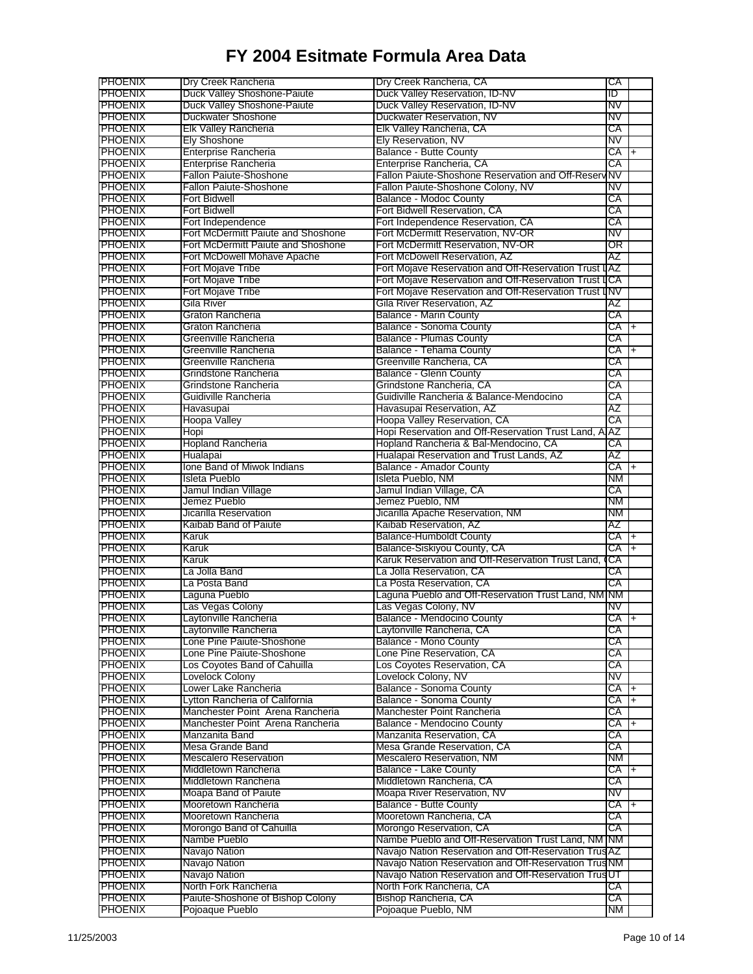| <b>PHOENIX</b>                   | Dry Creek Rancheria                                 | Dry Creek Rancheria, CA                                | СA        |           |
|----------------------------------|-----------------------------------------------------|--------------------------------------------------------|-----------|-----------|
| <b>PHOENIX</b>                   | Duck Valley Shoshone-Paiute                         | Duck Valley Reservation, ID-NV                         | ID        |           |
| <b>PHOENIX</b>                   | Duck Valley Shoshone-Paiute                         | Duck Valley Reservation, ID-NV                         | NV        |           |
| <b>PHOENIX</b>                   | Duckwater Shoshone                                  | Duckwater Reservation, NV                              | NV        |           |
|                                  |                                                     |                                                        |           |           |
| <b>PHOENIX</b>                   | <b>Elk Valley Rancheria</b>                         | Elk Valley Rancheria, CA                               | СA        |           |
| <b>PHOENIX</b>                   | <b>Ely Shoshone</b>                                 | Ely Reservation, NV                                    | <b>NV</b> |           |
| <b>PHOENIX</b>                   | <b>Enterprise Rancheria</b>                         | <b>Balance - Butte County</b>                          | СA        | $\ddot{}$ |
| <b>PHOENIX</b>                   | <b>Enterprise Rancheria</b>                         | Enterprise Rancheria, CA                               | СA        |           |
| <b>PHOENIX</b>                   | <b>Fallon Paiute-Shoshone</b>                       | Fallon Paiute-Shoshone Reservation and Off-Reserv      | NV        |           |
| <b>PHOENIX</b>                   | <b>Fallon Paiute-Shoshone</b>                       | Fallon Paiute-Shoshone Colony, NV                      | NV        |           |
| <b>PHOENIX</b>                   | <b>Fort Bidwell</b>                                 | <b>Balance - Modoc County</b>                          | СA        |           |
| PHOENIX                          | <b>Fort Bidwell</b>                                 | Fort Bidwell Reservation, CA                           | СA        |           |
| <b>PHOENIX</b>                   | Fort Independence                                   | Fort Independence Reservation, CA                      | СA        |           |
| <b>PHOENIX</b>                   | Fort McDermitt Paiute and Shoshone                  | Fort McDermitt Reservation, NV-OR                      | NV        |           |
| <b>PHOENIX</b>                   | Fort McDermitt Paiute and Shoshone                  | Fort McDermitt Reservation, NV-OR                      | OR        |           |
|                                  |                                                     |                                                        |           |           |
| <b>PHOENIX</b>                   | Fort McDowell Mohave Apache                         | Fort McDowell Reservation, AZ                          | AΖ        |           |
| <b>PHOENIX</b>                   | Fort Mojave Tribe                                   | Fort Mojave Reservation and Off-Reservation Trust LAZ  |           |           |
| PHOENIX                          | Fort Mojave Tribe                                   | Fort Mojave Reservation and Off-Reservation Trust IICA |           |           |
| <b>PHOENIX</b>                   | Fort Mojave Tribe                                   | Fort Mojave Reservation and Off-Reservation Trust LINV |           |           |
| <b>PHOENIX</b>                   | Gila River                                          | Gila River Reservation, AZ                             | ΑZ        |           |
| <b>PHOENIX</b>                   | Graton Rancheria                                    | <b>Balance - Marin County</b>                          | СA        |           |
| <b>PHOENIX</b>                   | Graton Rancheria                                    | Balance - Sonoma County                                | CA        | l+        |
|                                  |                                                     |                                                        |           |           |
| <b>PHOENIX</b>                   | Greenville Rancheria                                | <b>Balance - Plumas County</b>                         | СA        |           |
| <b>PHOENIX</b>                   | Greenville Rancheria                                | <b>Balance - Tehama County</b>                         | СA        | $\ddot{}$ |
| <b>PHOENIX</b>                   | Greenville Rancheria                                | Greenville Rancheria, CA                               | СA        |           |
| <b>PHOENIX</b>                   | Grindstone Rancheria                                | <b>Balance - Glenn County</b>                          | СA        |           |
| <b>PHOENIX</b>                   | Grindstone Rancheria                                | Grindstone Rancheria. CA                               | СA        |           |
| <b>PHOENIX</b>                   | Guidiville Rancheria                                | Guidiville Rancheria & Balance-Mendocino               | СA        |           |
|                                  |                                                     | Havasupai Reservation, AZ                              | AΖ        |           |
| PHOENIX                          | Havasupai                                           |                                                        |           |           |
| <b>PHOENIX</b>                   | Hoopa Valley                                        | Hoopa Valley Reservation, CA                           | СA        |           |
| <b>PHOENIX</b>                   | Hopi                                                | Hopi Reservation and Off-Reservation Trust Land, A     | AZ        |           |
| <b>PHOENIX</b>                   | <b>Hopland Rancheria</b>                            | Hopland Rancheria & Bal-Mendocino, CA                  | СA        |           |
| <b>PHOENIX</b>                   | Hualapai                                            | Hualapai Reservation and Trust Lands, AZ               | AΖ        |           |
| <b>PHOENIX</b>                   | Ione Band of Miwok Indians                          | Balance - Amador County                                | СA        | $\ddot{}$ |
| <b>PHOENIX</b>                   | Isleta Pueblo                                       | Isleta Pueblo, NM                                      | NМ        |           |
| <b>PHOENIX</b>                   |                                                     | Jamul Indian Village, CA                               | СA        |           |
|                                  | Jamul Indian Village                                |                                                        |           |           |
| <b>PHOENIX</b>                   | Jemez Pueblo                                        | Jemez Pueblo, NM                                       | NМ        |           |
| <b>PHOENIX</b>                   | Jicarilla Reservation                               | Jicarilla Apache Reservation, NM                       | ΝM        |           |
| <b>PHOENIX</b>                   | Kaibab Band of Paiute                               | Kaibab Reservation, AZ                                 | AΖ        |           |
| <b>PHOENIX</b>                   | Karuk                                               | <b>Balance-Humboldt County</b>                         | СA        |           |
| <b>PHOENIX</b>                   | Karuk                                               | Balance-Siskiyou County, CA                            | CA        | $\ddot{}$ |
| <b>PHOENIX</b>                   | Karuk                                               | Karuk Reservation and Off-Reservation Trust Land.      | СA        |           |
| <b>PHOENIX</b>                   | La Jolla Band                                       | La Jolla Reservation, CA                               | СA        |           |
|                                  |                                                     |                                                        |           |           |
| <b>PHOENIX</b>                   | La Posta Band                                       | La Posta Reservation, CA                               | СA        |           |
| <b>PHOENIX</b>                   | Laguna Pueblo                                       | Laguna Pueblo and Off-Reservation Trust Land, NM NM    |           |           |
| <b>PHOENIX</b>                   | Las Vegas Colony                                    | Las Vegas Colony, NV                                   | NV        |           |
| <b>PHOENIX</b>                   | Laytonville Rancheria                               | Balance - Mendocino County                             | CA        | $\ddot{}$ |
| <b>PHOENIX</b>                   | Laytonville Rancheria                               | Laytonville Rancheria, CA                              | СA        |           |
| <b>PHOENIX</b>                   | Lone Pine Paiute-Shoshone                           | <b>Balance - Mono County</b>                           | СA        |           |
| <b>PHOENIX</b>                   | Lone Pine Paiute-Shoshone                           | Lone Pine Reservation, CA                              | СA        |           |
| <b>PHOENIX</b>                   | Los Coyotes Band of Cahuilla                        | Los Coyotes Reservation, CA                            | СA        |           |
|                                  |                                                     |                                                        |           |           |
| <b>PHOENIX</b>                   | Lovelock Colony                                     | Lovelock Colony, NV                                    | NV        |           |
| <b>PHOENIX</b>                   | Lower Lake Rancheria                                | Balance - Sonoma County                                | CA I+     |           |
| <b>PHOENIX</b>                   | Lytton Rancheria of California                      | <b>Balance - Sonoma County</b>                         | CA        |           |
| PHOENIX                          | Manchester Point Arena Rancheria                    | Manchester Point Rancheria                             | CA        |           |
| <b>PHOENIX</b>                   | Manchester Point Arena Rancheria                    | Balance - Mendocino County                             | CA        |           |
| <b>PHOENIX</b>                   | Manzanita Band                                      | Manzanita Reservation, CA                              | СA        |           |
| <b>PHOENIX</b>                   | Mesa Grande Band                                    | Mesa Grande Reservation, CA                            | CA        |           |
|                                  |                                                     |                                                        |           |           |
| <b>PHOENIX</b>                   | <b>Mescalero Reservation</b>                        | Mescalero Reservation, NM                              | NM        |           |
| <b>PHOENIX</b>                   | Middletown Rancheria                                | <b>Balance - Lake County</b>                           | CA I+     |           |
| <b>PHOENIX</b>                   | Middletown Rancheria                                | Middletown Rancheria, CA                               | CA        |           |
| <b>PHOENIX</b>                   | Moapa Band of Paiute                                | Moapa River Reservation, NV                            | NV        |           |
| <b>PHOENIX</b>                   | Mooretown Rancheria                                 | <b>Balance - Butte County</b>                          | CA        |           |
| <b>PHOENIX</b>                   | Mooretown Rancheria                                 | Mooretown Rancheria, CA                                | СA        |           |
|                                  |                                                     |                                                        |           |           |
| <b>PHOENIX</b>                   | Morongo Band of Cahuilla                            | Morongo Reservation, CA                                | СA        |           |
| <b>PHOENIX</b>                   | Nambe Pueblo                                        | Nambe Pueblo and Off-Reservation Trust Land, NM NM     |           |           |
| <b>PHOENIX</b>                   | Navajo Nation                                       | Navajo Nation Reservation and Off-Reservation Trus AZ  |           |           |
| <b>PHOENIX</b>                   | Navajo Nation                                       | Navajo Nation Reservation and Off-Reservation TrusNM   |           |           |
| <b>PHOENIX</b>                   | Navajo Nation                                       | Navajo Nation Reservation and Off-Reservation TrusUT   |           |           |
| <b>PHOENIX</b>                   | North Fork Rancheria                                | North Fork Rancheria, CA                               | СA        |           |
|                                  |                                                     |                                                        |           |           |
|                                  |                                                     |                                                        |           |           |
| <b>PHOENIX</b><br><b>PHOENIX</b> | Paiute-Shoshone of Bishop Colony<br>Pojoaque Pueblo | Bishop Rancheria, CA<br>Pojoaque Pueblo, NM            | СA<br>NM. |           |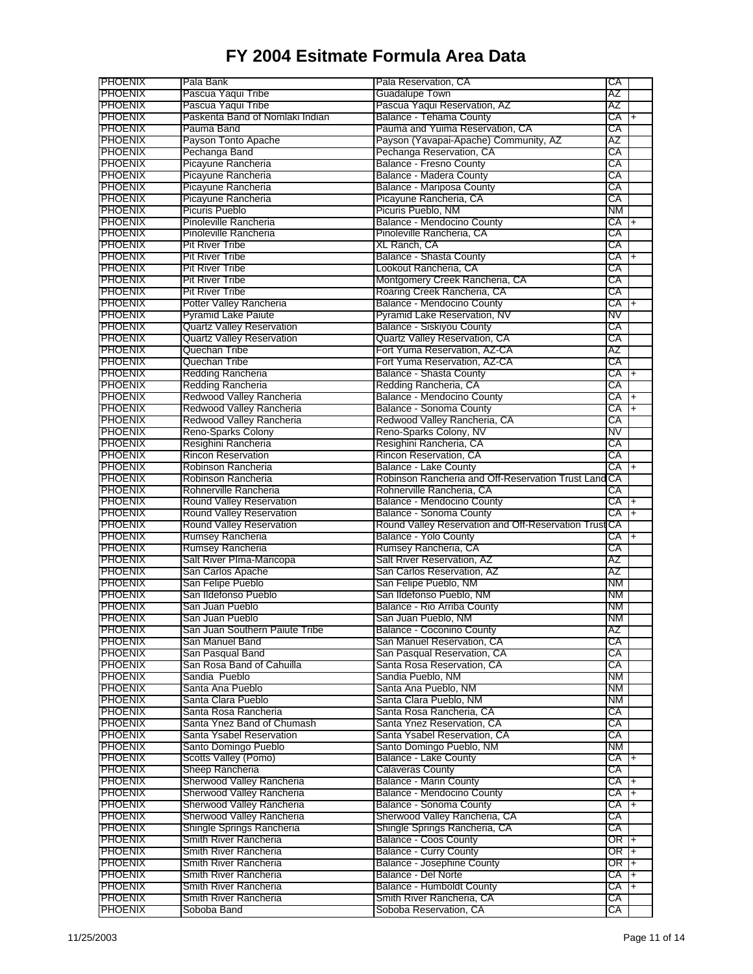| <b>PHOENIX</b>                                                                         | Pala Bank                        | Pala Reservation, CA                                 | СA        |                |
|----------------------------------------------------------------------------------------|----------------------------------|------------------------------------------------------|-----------|----------------|
| <b>PHOENIX</b>                                                                         | Pascua Yaqui Tribe               | <b>Guadalupe Town</b>                                | AΖ        |                |
| <b>PHOENIX</b>                                                                         | Pascua Yaqui Tribe               | Pascua Yaqui Reservation, AZ                         | AΖ        |                |
| <b>PHOENIX</b>                                                                         | Paskenta Band of Nomlaki Indian  | Balance - Tehama County                              | СA        | $\overline{+}$ |
| <b>PHOENIX</b>                                                                         | Pauma Band                       | Pauma and Yuima Reservation, CA                      | СA        |                |
| <b>PHOENIX</b>                                                                         | Payson Tonto Apache              | Payson (Yavapai-Apache) Community, AZ                | AΖ        |                |
| <b>PHOENIX</b>                                                                         | Pechanga Band                    | Pechanga Reservation, CA                             | СA        |                |
| <b>PHOENIX</b>                                                                         | Picayune Rancheria               | <b>Balance - Fresno County</b>                       | СA        |                |
| <b>PHOENIX</b>                                                                         | Picayune Rancheria               | Balance - Madera County                              | СA        |                |
| <b>PHOENIX</b>                                                                         | Picayune Rancheria               | Balance - Mariposa County                            | СA        |                |
| <b>PHOENIX</b>                                                                         | Picayune Rancheria               | Picayune Rancheria, CA                               | СA        |                |
| <b>PHOENIX</b>                                                                         | Picuris Pueblo                   | Picuris Pueblo, NM                                   | NΜ        |                |
| <b>PHOENIX</b>                                                                         | Pinoleville Rancheria            | Balance - Mendocino County                           | СA        | $+$            |
| <b>PHOENIX</b>                                                                         | Pinoleville Rancheria            | Pinoleville Rancheria, CA                            | СA        |                |
| <b>PHOENIX</b>                                                                         | <b>Pit River Tribe</b>           | XL Ranch, CA                                         | СA        |                |
| <b>PHOENIX</b>                                                                         | <b>Pit River Tribe</b>           | <b>Balance - Shasta County</b>                       | СA        | $+$            |
| <b>PHOENIX</b>                                                                         | <b>Pit River Tribe</b>           | Lookout Rancheria, CA                                | СA        |                |
| <b>PHOENIX</b>                                                                         | <b>Pit River Tribe</b>           | Montgomery Creek Rancheria, CA                       | СA        |                |
| <b>PHOENIX</b>                                                                         | <b>Pit River Tribe</b>           | Roaring Creek Rancheria, CA                          | СA        |                |
| <b>PHOENIX</b>                                                                         | Potter Valley Rancheria          | Balance - Mendocino County                           | СA        | $+$            |
| <b>PHOENIX</b>                                                                         | <b>Pyramid Lake Paiute</b>       | Pyramid Lake Reservation, NV                         | NV        |                |
| <b>PHOENIX</b>                                                                         | <b>Quartz Valley Reservation</b> | <b>Balance - Siskiyou County</b>                     | СA        |                |
| <b>PHOENIX</b>                                                                         | <b>Quartz Valley Reservation</b> | <b>Quartz Valley Reservation, CA</b>                 | СA        |                |
| <b>PHOENIX</b>                                                                         | Quechan Tribe                    | Fort Yuma Reservation, AZ-CA                         | AΖ        |                |
| <b>PHOENIX</b>                                                                         | Quechan Tribe                    | Fort Yuma Reservation, AZ-CA                         | СA        |                |
| <b>PHOENIX</b>                                                                         | Redding Rancheria                | <b>Balance - Shasta County</b>                       | СA        | $\ddot{}$      |
| <b>PHOENIX</b>                                                                         | Redding Rancheria                | Redding Rancheria, CA                                | СA        |                |
| <b>PHOENIX</b>                                                                         | Redwood Valley Rancheria         | Balance - Mendocino County                           | СA        | $\ddot{}$      |
| <b>PHOENIX</b>                                                                         | Redwood Valley Rancheria         | Balance - Sonoma County                              | СA        | $\overline{+}$ |
| <b>PHOENIX</b>                                                                         | Redwood Valley Rancheria         | Redwood Valley Rancheria, CA                         | СA        |                |
| <b>PHOENIX</b>                                                                         | Reno-Sparks Colony               | Reno-Sparks Colony, NV                               | NV        |                |
| <b>PHOENIX</b>                                                                         | Resighini Rancheria              | Resighini Rancheria, CA                              | СA        |                |
| <b>PHOENIX</b>                                                                         | <b>Rincon Reservation</b>        | Rincon Reservation, CA                               | СA        |                |
| <b>PHOENIX</b>                                                                         | Robinson Rancheria               | Balance - Lake County                                | СA        | l+             |
| <b>PHOENIX</b>                                                                         | Robinson Rancheria               | Robinson Rancheria and Off-Reservation Trust Land CA |           |                |
| <b>PHOENIX</b>                                                                         | Rohnerville Rancheria            | Rohnerville Rancheria, CA                            | СA        |                |
|                                                                                        |                                  |                                                      |           |                |
|                                                                                        |                                  |                                                      |           |                |
| <b>PHOENIX</b>                                                                         | Round Valley Reservation         | Balance - Mendocino County                           | CA        | I+             |
| <b>PHOENIX</b>                                                                         | Round Valley Reservation         | Balance - Sonoma County                              | СA        | $\overline{+}$ |
| <b>PHOENIX</b>                                                                         | <b>Round Valley Reservation</b>  | Round Valley Reservation and Off-Reservation Trust   | СA        |                |
| <b>PHOENIX</b>                                                                         | Rumsey Rancheria                 | <b>Balance - Yolo County</b>                         | СA        | $+$            |
| <b>PHOENIX</b>                                                                         | <b>Rumsey Rancheria</b>          | Rumsey Rancheria, CA                                 | СA        |                |
| <b>PHOENIX</b>                                                                         | Salt River Plma-Maricopa         | Salt River Reservation, AZ                           | AΖ        |                |
| <b>PHOENIX</b>                                                                         | San Carlos Apache                | San Carlos Reservation, AZ                           | AΖ        |                |
| <b>PHOENIX</b>                                                                         | San Felipe Pueblo                | San Felipe Pueblo, NM                                | NМ        |                |
| <b>PHOENIX</b>                                                                         | San Ildefonso Pueblo             | San Ildefonso Pueblo, NM                             | ΝM        |                |
| <b>PHOENIX</b>                                                                         | San Juan Pueblo                  | Balance - Rio Arriba County                          | NM.       |                |
| <b>PHOENIX</b>                                                                         | San Juan Pueblo                  | San Juan Pueblo, NM                                  | ΝM        |                |
| PHOENIX                                                                                | San Juan Southern Paiute Tribe   | Balance - Coconino County                            | ΑZ        |                |
| <b>PHOENIX</b>                                                                         | San Manuel Band                  | San Manuel Reservation, CA                           | СA        |                |
|                                                                                        | San Pasqual Band                 | San Pasqual Reservation, CA                          | СA        |                |
| <b>PHOENIX</b><br><b>PHOENIX</b>                                                       | San Rosa Band of Cahuilla        | Santa Rosa Reservation, CA                           | СA        |                |
| <b>PHOENIX</b>                                                                         | Sandia Pueblo                    | Sandia Pueblo, NM                                    | ΝM        |                |
|                                                                                        | Santa Ana Pueblo                 | Santa Ana Pueblo, NM                                 | NМ        |                |
| <b>PHOENIX</b>                                                                         | Santa Clara Pueblo               | Santa Clara Pueblo, NM                               | <b>NM</b> |                |
| <b>PHOENIX</b>                                                                         | Santa Rosa Rancheria             | Santa Rosa Rancheria, CA                             | СA        |                |
| <b>PHOENIX</b><br><b>PHOENIX</b>                                                       | Santa Ynez Band of Chumash       | Santa Ynez Reservation, CA                           | СA        |                |
|                                                                                        | Santa Ysabel Reservation         | Santa Ysabel Reservation, CA                         | СA        |                |
| <b>PHOENIX</b><br><b>PHOENIX</b>                                                       | Santo Domingo Pueblo             | Santo Domingo Pueblo, NM                             | NМ        |                |
|                                                                                        | Scotts Valley (Pomo)             | Balance - Lake County                                | CA        | I+             |
| <b>PHOENIX</b><br><b>PHOENIX</b>                                                       | Sheep Rancheria                  | <b>Calaveras County</b>                              | СA        |                |
|                                                                                        | Sherwood Valley Rancheria        | <b>Balance - Marin County</b>                        | CA        | l+             |
| <b>PHOENIX</b><br><b>PHOENIX</b>                                                       | Sherwood Valley Rancheria        | Balance - Mendocino County                           | CA        | $\overline{+}$ |
| <b>PHOENIX</b>                                                                         | Sherwood Valley Rancheria        | Balance - Sonoma County                              | СA        | $+$            |
| <b>PHOENIX</b>                                                                         | Sherwood Valley Rancheria        | Sherwood Valley Rancheria, CA                        | СA        |                |
|                                                                                        | Shingle Springs Rancheria        | Shingle Springs Rancheria, CA                        | СA        |                |
|                                                                                        | Smith River Rancheria            | <b>Balance - Coos County</b>                         | OR        | $+$            |
|                                                                                        | Smith River Rancheria            | <b>Balance - Curry County</b>                        | OR I+     |                |
|                                                                                        | Smith River Rancheria            | <b>Balance - Josephine County</b>                    | OR I+     |                |
| <b>PHOENIX</b><br><b>PHOENIX</b><br><b>PHOENIX</b><br><b>PHOENIX</b><br><b>PHOENIX</b> | Smith River Rancheria            | Balance - Del Norte                                  | CA        | $+$            |
| <b>PHOENIX</b>                                                                         | Smith River Rancheria            | Balance - Humboldt County                            | CA        | $+$            |
| <b>PHOENIX</b>                                                                         | Smith River Rancheria            | Smith River Rancheria, CA<br>Soboba Reservation, CA  | СA        |                |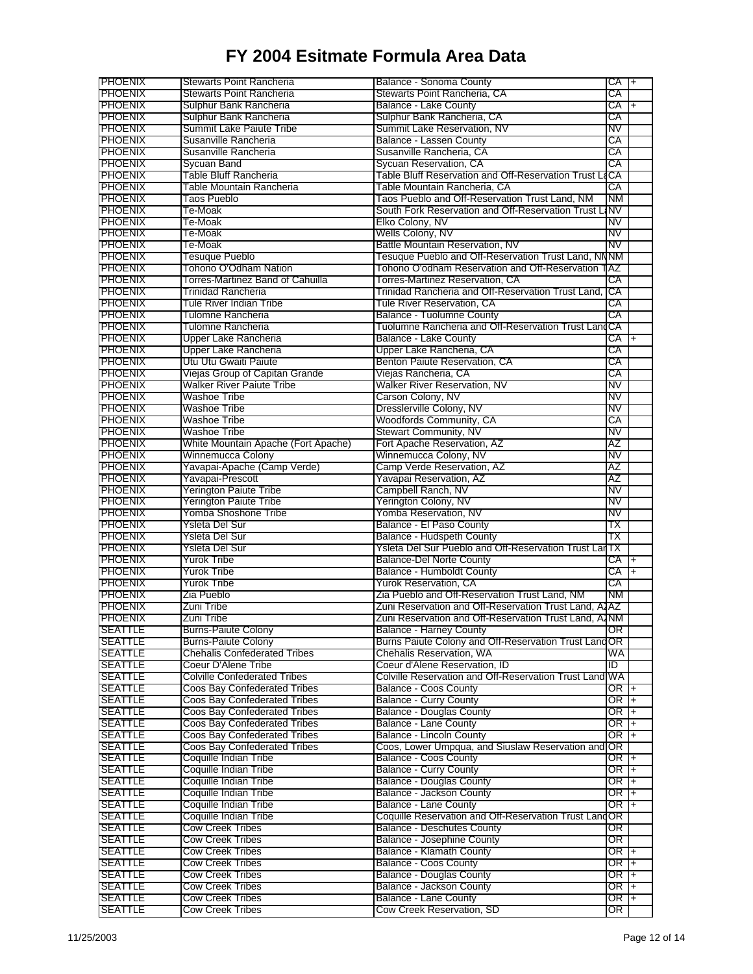|                                                                                                                                                                                                                                                                                                                                                                                                                                                                                                                      | <b>Stewarts Point Rancheria</b>     | <b>Balance - Sonoma County</b>                         | CA I+      |                          |
|----------------------------------------------------------------------------------------------------------------------------------------------------------------------------------------------------------------------------------------------------------------------------------------------------------------------------------------------------------------------------------------------------------------------------------------------------------------------------------------------------------------------|-------------------------------------|--------------------------------------------------------|------------|--------------------------|
| <b>PHOENIX</b>                                                                                                                                                                                                                                                                                                                                                                                                                                                                                                       | <b>Stewarts Point Rancheria</b>     | Stewarts Point Rancheria, CA                           | СA         |                          |
| <b>PHOENIX</b>                                                                                                                                                                                                                                                                                                                                                                                                                                                                                                       | Sulphur Bank Rancheria              | Balance - Lake County                                  | CA         | $\overline{+}$           |
| <b>PHOENIX</b>                                                                                                                                                                                                                                                                                                                                                                                                                                                                                                       | Sulphur Bank Rancheria              | Sulphur Bank Rancheria, CA                             | СA         |                          |
| <b>PHOENIX</b>                                                                                                                                                                                                                                                                                                                                                                                                                                                                                                       | Summit Lake Paiute Tribe            | Summit Lake Reservation, NV                            | NV         |                          |
| <b>PHOENIX</b>                                                                                                                                                                                                                                                                                                                                                                                                                                                                                                       | Susanville Rancheria                | Balance - Lassen County                                | СA         |                          |
| <b>PHOENIX</b>                                                                                                                                                                                                                                                                                                                                                                                                                                                                                                       | Susanville Rancheria                | Susanville Rancheria, CA                               | СA         |                          |
| <b>PHOENIX</b>                                                                                                                                                                                                                                                                                                                                                                                                                                                                                                       | Sycuan Band                         | Sycuan Reservation, CA                                 | СA         |                          |
| <b>PHOENIX</b>                                                                                                                                                                                                                                                                                                                                                                                                                                                                                                       | Table Bluff Rancheria               | Table Bluff Reservation and Off-Reservation Trust L    | 1CA        |                          |
| <b>PHOENIX</b>                                                                                                                                                                                                                                                                                                                                                                                                                                                                                                       | Table Mountain Rancheria            | Table Mountain Rancheria, CA                           | СA         |                          |
| <b>PHOENIX</b>                                                                                                                                                                                                                                                                                                                                                                                                                                                                                                       | Taos Pueblo                         | Taos Pueblo and Off-Reservation Trust Land, NM         | <b>NM</b>  |                          |
| <b>PHOENIX</b>                                                                                                                                                                                                                                                                                                                                                                                                                                                                                                       | Te-Moak                             | South Fork Reservation and Off-Reservation Trust LINV  |            |                          |
| <b>PHOENIX</b>                                                                                                                                                                                                                                                                                                                                                                                                                                                                                                       | Te-Moak                             | Elko Colony, NV                                        | <b>NV</b>  |                          |
| <b>PHOENIX</b>                                                                                                                                                                                                                                                                                                                                                                                                                                                                                                       | Te-Moak                             | Wells Colony, NV                                       | N۷         |                          |
| <b>PHOENIX</b>                                                                                                                                                                                                                                                                                                                                                                                                                                                                                                       | Te-Moak                             | Battle Mountain Reservation, NV                        | NV         |                          |
| <b>PHOENIX</b>                                                                                                                                                                                                                                                                                                                                                                                                                                                                                                       | Tesuque Pueblo                      | Tesuque Pueblo and Off-Reservation Trust Land, NNNM    |            |                          |
| <b>PHOENIX</b>                                                                                                                                                                                                                                                                                                                                                                                                                                                                                                       | Tohono O'Odham Nation               | Tohono O'odham Reservation and Off-Reservation         | TAZ        |                          |
| <b>PHOENIX</b>                                                                                                                                                                                                                                                                                                                                                                                                                                                                                                       | Torres-Martinez Band of Cahuilla    | Torres-Martinez Reservation, CA                        | СA         |                          |
| <b>PHOENIX</b>                                                                                                                                                                                                                                                                                                                                                                                                                                                                                                       | Trinidad Rancheria                  | Trinidad Rancheria and Off-Reservation Trust Land,     | <b>ICA</b> |                          |
| <b>PHOENIX</b>                                                                                                                                                                                                                                                                                                                                                                                                                                                                                                       | <b>Tule River Indian Tribe</b>      | Tule River Reservation, CA                             | СA         |                          |
| <b>PHOENIX</b>                                                                                                                                                                                                                                                                                                                                                                                                                                                                                                       | Tulomne Rancheria                   | <b>Balance - Tuolumne County</b>                       | СA         |                          |
| <b>PHOENIX</b>                                                                                                                                                                                                                                                                                                                                                                                                                                                                                                       | Tulomne Rancheria                   | Tuolumne Rancheria and Off-Reservation Trust Land CA   |            |                          |
| <b>PHOENIX</b>                                                                                                                                                                                                                                                                                                                                                                                                                                                                                                       | Upper Lake Rancheria                | <b>Balance - Lake County</b>                           | CA         |                          |
| PHOENIX                                                                                                                                                                                                                                                                                                                                                                                                                                                                                                              | Upper Lake Rancheria                | Upper Lake Rancheria, CA                               | СA         |                          |
| <b>PHOENIX</b>                                                                                                                                                                                                                                                                                                                                                                                                                                                                                                       | Utu Utu Gwaiti Paiute               | Benton Paiute Reservation, CA                          | СA         |                          |
| <b>PHOENIX</b>                                                                                                                                                                                                                                                                                                                                                                                                                                                                                                       | Viejas Group of Capitan Grande      | Viejas Rancheria, CA                                   | СA         |                          |
| <b>PHOENIX</b>                                                                                                                                                                                                                                                                                                                                                                                                                                                                                                       | <b>Walker River Paiute Tribe</b>    | Walker River Reservation, NV                           | NV         |                          |
| <b>PHOENIX</b>                                                                                                                                                                                                                                                                                                                                                                                                                                                                                                       | Washoe Tribe                        | Carson Colony, NV                                      | NV         |                          |
| <b>PHOENIX</b>                                                                                                                                                                                                                                                                                                                                                                                                                                                                                                       | Washoe Tribe                        | Dresslerville Colony, NV                               | NV         |                          |
| <b>PHOENIX</b>                                                                                                                                                                                                                                                                                                                                                                                                                                                                                                       | Washoe Tribe                        | Woodfords Community, CA                                | СA         |                          |
| <b>PHOENIX</b>                                                                                                                                                                                                                                                                                                                                                                                                                                                                                                       | <b>Washoe Tribe</b>                 | <b>Stewart Community, NV</b>                           | <b>NV</b>  |                          |
| <b>PHOENIX</b>                                                                                                                                                                                                                                                                                                                                                                                                                                                                                                       | White Mountain Apache (Fort Apache) | Fort Apache Reservation, AZ                            | AΖ         |                          |
| <b>PHOENIX</b>                                                                                                                                                                                                                                                                                                                                                                                                                                                                                                       | <b>Winnemucca Colony</b>            | Winnemucca Colony, NV                                  | NV         |                          |
| <b>PHOENIX</b>                                                                                                                                                                                                                                                                                                                                                                                                                                                                                                       | Yavapai-Apache (Camp Verde)         | Camp Verde Reservation, AZ                             | ΑZ         |                          |
| <b>PHOENIX</b>                                                                                                                                                                                                                                                                                                                                                                                                                                                                                                       | Yavapai-Prescott                    | Yavapai Reservation, AZ                                | AΖ         |                          |
|                                                                                                                                                                                                                                                                                                                                                                                                                                                                                                                      |                                     |                                                        | NV         |                          |
| PHOENIX                                                                                                                                                                                                                                                                                                                                                                                                                                                                                                              | <b>Yerington Paiute Tribe</b>       | Campbell Ranch, NV                                     |            |                          |
| <b>PHOENIX</b>                                                                                                                                                                                                                                                                                                                                                                                                                                                                                                       | <b>Yerington Paiute Tribe</b>       | Yerington Colony, NV                                   | NV         |                          |
| <b>PHOENIX</b>                                                                                                                                                                                                                                                                                                                                                                                                                                                                                                       | Yomba Shoshone Tribe                | Yomba Reservation, NV                                  | NV         |                          |
| <b>PHOENIX</b>                                                                                                                                                                                                                                                                                                                                                                                                                                                                                                       | Ysleta Del Sur                      | Balance - El Paso County                               | ΤХ         |                          |
| <b>PHOENIX</b><br><b>PHOENIX</b>                                                                                                                                                                                                                                                                                                                                                                                                                                                                                     | Ysleta Del Sur                      | Balance - Hudspeth County                              | ТΧ         |                          |
|                                                                                                                                                                                                                                                                                                                                                                                                                                                                                                                      | Ysleta Del Sur                      | Ysleta Del Sur Pueblo and Off-Reservation Trust LarTX  |            |                          |
|                                                                                                                                                                                                                                                                                                                                                                                                                                                                                                                      |                                     | <b>Balance-Del Norte County</b>                        |            | $\left  + \right\rangle$ |
|                                                                                                                                                                                                                                                                                                                                                                                                                                                                                                                      | Yurok Tribe                         |                                                        | CA         |                          |
|                                                                                                                                                                                                                                                                                                                                                                                                                                                                                                                      | <b>Yurok Tribe</b>                  | <b>Balance - Humboldt County</b>                       | СA         | $+$                      |
|                                                                                                                                                                                                                                                                                                                                                                                                                                                                                                                      | Yurok Tribe                         | Yurok Reservation, CA                                  | СA         |                          |
|                                                                                                                                                                                                                                                                                                                                                                                                                                                                                                                      | Zia Pueblo                          | Zia Pueblo and Off-Reservation Trust Land, NM          | <b>NM</b>  |                          |
|                                                                                                                                                                                                                                                                                                                                                                                                                                                                                                                      | Zuni Tribe                          | Zuni Reservation and Off-Reservation Trust Land, ATAZ  |            |                          |
|                                                                                                                                                                                                                                                                                                                                                                                                                                                                                                                      | Zuni Tribe                          | Zuni Reservation and Off-Reservation Trust Land, AINM  |            |                          |
|                                                                                                                                                                                                                                                                                                                                                                                                                                                                                                                      | <b>Burns-Paiute Colony</b>          | <b>Balance - Harney County</b>                         | OR.        |                          |
|                                                                                                                                                                                                                                                                                                                                                                                                                                                                                                                      | <b>Burns-Paiute Colony</b>          | Burns Paiute Colony and Off-Reservation Trust Land OR  |            |                          |
|                                                                                                                                                                                                                                                                                                                                                                                                                                                                                                                      | <b>Chehalis Confederated Tribes</b> | <b>Chehalis Reservation, WA</b>                        | WA         |                          |
|                                                                                                                                                                                                                                                                                                                                                                                                                                                                                                                      | Coeur D'Alene Tribe                 | Coeur d'Alene Reservation, ID                          | סו         |                          |
|                                                                                                                                                                                                                                                                                                                                                                                                                                                                                                                      | Colville Confederated Tribes        | Colville Reservation and Off-Reservation Trust Land WA |            |                          |
|                                                                                                                                                                                                                                                                                                                                                                                                                                                                                                                      | Coos Bay Confederated Tribes        | Balance - Coos County                                  | $OR +$     |                          |
|                                                                                                                                                                                                                                                                                                                                                                                                                                                                                                                      | Coos Bay Confederated Tribes        | <b>Balance - Curry County</b>                          | OR I       |                          |
|                                                                                                                                                                                                                                                                                                                                                                                                                                                                                                                      | Coos Bay Confederated Tribes        | <b>Balance - Douglas County</b>                        | OR         | $+$                      |
|                                                                                                                                                                                                                                                                                                                                                                                                                                                                                                                      | Coos Bay Confederated Tribes        | <b>Balance - Lane County</b>                           | OR         | $\ddot{}$                |
|                                                                                                                                                                                                                                                                                                                                                                                                                                                                                                                      | Coos Bay Confederated Tribes        | <b>Balance - Lincoln County</b>                        | OR I       | $\overline{+}$           |
|                                                                                                                                                                                                                                                                                                                                                                                                                                                                                                                      | Coos Bay Confederated Tribes        | Coos, Lower Umpqua, and Siuslaw Reservation and OR     |            |                          |
|                                                                                                                                                                                                                                                                                                                                                                                                                                                                                                                      | Coquille Indian Tribe               | <b>Balance - Coos County</b>                           | OR I       | $\pm$                    |
|                                                                                                                                                                                                                                                                                                                                                                                                                                                                                                                      | Coquille Indian Tribe               | <b>Balance - Curry County</b>                          | OR I       | $+$                      |
|                                                                                                                                                                                                                                                                                                                                                                                                                                                                                                                      | Coquille Indian Tribe               | <b>Balance - Douglas County</b>                        | OR I       | $\overline{+}$           |
|                                                                                                                                                                                                                                                                                                                                                                                                                                                                                                                      | Coquille Indian Tribe               | Balance - Jackson County                               | OR         | $+$                      |
|                                                                                                                                                                                                                                                                                                                                                                                                                                                                                                                      | Coquille Indian Tribe               | Balance - Lane County                                  | OR         | $+$                      |
|                                                                                                                                                                                                                                                                                                                                                                                                                                                                                                                      | Coquille Indian Tribe               | Coquille Reservation and Off-Reservation Trust Land OR |            |                          |
|                                                                                                                                                                                                                                                                                                                                                                                                                                                                                                                      | Cow Creek Tribes                    | <b>Balance - Deschutes County</b>                      | OR I       |                          |
|                                                                                                                                                                                                                                                                                                                                                                                                                                                                                                                      | Cow Creek Tribes                    | Balance - Josephine County                             | OR I       |                          |
|                                                                                                                                                                                                                                                                                                                                                                                                                                                                                                                      | Cow Creek Tribes                    | Balance - Klamath County                               | OR I       | $+$                      |
|                                                                                                                                                                                                                                                                                                                                                                                                                                                                                                                      | <b>Cow Creek Tribes</b>             | Balance - Coos County                                  | OR I       | $+$                      |
| <b>PHOENIX</b><br><b>PHOENIX</b><br><b>PHOENIX</b><br><b>PHOENIX</b><br><b>PHOENIX</b><br><b>PHOENIX</b><br><b>SEATTLE</b><br><b>SEATTLE</b><br><b>SEATTLE</b><br><b>SEATTLE</b><br><b>SEATTLE</b><br><b>SEATTLE</b><br><b>SEATTLE</b><br><b>SEATTLE</b><br><b>SEATTLE</b><br><b>SEATTLE</b><br><b>SEATTLE</b><br><b>SEATTLE</b><br><b>SEATTLE</b><br><b>SEATTLE</b><br><b>SEATTLE</b><br><b>SEATTLE</b><br><b>SEATTLE</b><br><b>SEATTLE</b><br><b>SEATTLE</b><br><b>SEATTLE</b><br><b>SEATTLE</b><br><b>SEATTLE</b> | Cow Creek Tribes                    | <b>Balance - Douglas County</b>                        | OR         | $+$                      |
|                                                                                                                                                                                                                                                                                                                                                                                                                                                                                                                      | <b>Cow Creek Tribes</b>             | Balance - Jackson County                               | OR I       | l+                       |
| <b>SEATTLE</b><br>SEATTLE                                                                                                                                                                                                                                                                                                                                                                                                                                                                                            | Cow Creek Tribes                    | Balance - Lane County                                  | OR I+      |                          |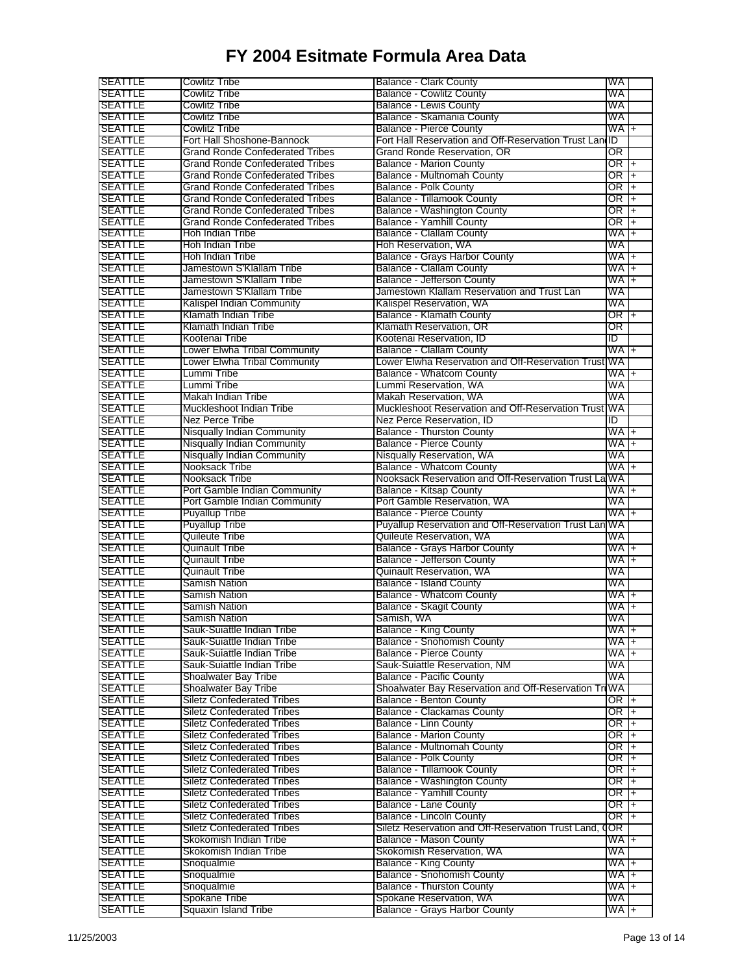| <b>SEATTLE</b>                   | Cowlitz Tribe                                                          | Balance - Clark County                                      | WA                |                |
|----------------------------------|------------------------------------------------------------------------|-------------------------------------------------------------|-------------------|----------------|
| <b>SEATTLE</b>                   | Cowlitz Tribe                                                          | <b>Balance - Cowlitz County</b>                             | WA                |                |
| SEATTLE                          | Cowlitz Tribe                                                          | Balance - Lewis County                                      | WA                |                |
| <b>SEATTLE</b>                   | Cowlitz Tribe                                                          | Balance - Skamania County                                   | WA                |                |
| SEATTLE                          | Cowlitz Tribe                                                          | <b>Balance - Pierce County</b>                              | $WA +$            |                |
| <b>SEATTLE</b>                   | Fort Hall Shoshone-Bannock                                             | Fort Hall Reservation and Off-Reservation Trust LandD       |                   |                |
| <b>SEATTLE</b>                   | Grand Ronde Confederated Tribes                                        | Grand Ronde Reservation, OR                                 | OR                |                |
| <b>SEATTLE</b>                   | Grand Ronde Confederated Tribes                                        | <b>Balance - Marion County</b>                              | OR I              | $\ddot{}$      |
| <b>SEATTLE</b>                   | Grand Ronde Confederated Tribes                                        | Balance - Multnomah County                                  | OR                | $\ddot{}$      |
| SEATTLE                          | Grand Ronde Confederated Tribes                                        | <b>Balance - Polk County</b>                                | OR                | $\overline{+}$ |
| <b>SEATTLE</b>                   | <b>Grand Ronde Confederated Tribes</b>                                 | <b>Balance - Tillamook County</b>                           | OR                | $\ddagger$     |
| <b>SEATTLE</b>                   | Grand Ronde Confederated Tribes                                        | Balance - Washington County                                 | OR                | $\ddagger$     |
| <b>SEATTLE</b>                   | <b>Grand Ronde Confederated Tribes</b>                                 | <b>Balance - Yamhill County</b>                             | OR                | $\ddot{}$      |
| <b>SEATTLE</b>                   | Hoh Indian Tribe                                                       | <b>Balance - Clallam County</b>                             | WA                | $\overline{+}$ |
| SEATTLE                          | Hoh Indian Tribe                                                       | Hoh Reservation, WA                                         | WA                |                |
| <b>SEATTLE</b>                   | Hoh Indian Tribe                                                       | <b>Balance - Grays Harbor County</b>                        | WA                | $\ddot{}$      |
| SEATTLE                          | Jamestown S'Klallam Tribe                                              | <b>Balance - Clallam County</b>                             | WA                | $\ddot{}$      |
| SEATTLE                          | Jamestown S'Klallam Tribe                                              | Balance - Jefferson County                                  | WA                | $\overline{+}$ |
| <b>SEATTLE</b>                   | Jamestown S'Klallam Tribe                                              | Jamestown Klallam Reservation and Trust Lan                 | WA                |                |
| <b>SEATTLE</b>                   | Kalispel Indian Community                                              | Kalispel Reservation, WA                                    | WA                |                |
| <b>SEATTLE</b>                   | Klamath Indian Tribe                                                   | <b>Balance - Klamath County</b>                             | OR I              | $\ddot{}$      |
| SEATTLE                          | Klamath Indian Tribe                                                   | Klamath Reservation, OR                                     | OR                |                |
| <b>SEATTLE</b>                   | Kootenai Tribe                                                         | Kootenai Reservation, ID                                    | ID                |                |
| SEATTLE                          | Lower Elwha Tribal Community                                           | <b>Balance - Clallam County</b>                             | WA.               | $\ddot{}$      |
| SEATTLE                          | Lower Elwha Tribal Community                                           | Lower Elwha Reservation and Off-Reservation Trust WA        |                   |                |
| <b>SEATTLE</b>                   | Lummi Tribe                                                            | <b>Balance - Whatcom County</b>                             | WA                | $\ddot{}$      |
| <b>SEATTLE</b>                   | Lummi Tribe                                                            | Lummi Reservation, WA                                       | WA                |                |
| <b>SEATTLE</b>                   | Makah Indian Tribe                                                     | <b>Makah Reservation, WA</b>                                | WA                |                |
| SEATTLE                          | Muckleshoot Indian Tribe                                               | Muckleshoot Reservation and Off-Reservation Trust           | WA                |                |
| <b>SEATTLE</b>                   | Nez Perce Tribe                                                        | Nez Perce Reservation, ID                                   | ID                |                |
| <b>SEATTLE</b>                   | <b>Nisqually Indian Community</b>                                      | <b>Balance - Thurston County</b>                            | WA.               | $\ddot{}$      |
| <b>SEATTLE</b>                   | <b>Nisqually Indian Community</b>                                      | <b>Balance - Pierce County</b>                              | WA                | $+$            |
| <b>SEATTLE</b>                   | <b>Nisqually Indian Community</b>                                      | Nisqually Reservation, WA                                   | WA                |                |
| <b>SEATTLE</b>                   | Nooksack Tribe                                                         | <b>Balance - Whatcom County</b>                             | WA                | $\ddot{}$      |
| <b>SEATTLE</b>                   | Nooksack Tribe                                                         | Nooksack Reservation and Off-Reservation Trust La           | WA                |                |
| SEATTLE                          | Port Gamble Indian Community                                           | <b>Balance - Kitsap County</b>                              | WA I              | $\ddot{}$      |
| SEATTLE                          | Port Gamble Indian Community                                           | Port Gamble Reservation, WA                                 | WA                |                |
| <b>SEATTLE</b>                   | <b>Puyallup Tribe</b>                                                  | <b>Balance - Pierce County</b>                              | WA                | $\ddot{}$      |
| <b>SEATTLE</b>                   | <b>Puyallup Tribe</b>                                                  | Puyallup Reservation and Off-Reservation Trust Lan WA       |                   |                |
| <b>SEATTLE</b>                   | Quileute Tribe                                                         | Quileute Reservation, WA                                    | WA                |                |
| <b>SEATTLE</b>                   | Quinault Tribe                                                         | Balance - Grays Harbor County                               | WA +              |                |
| SEATTLE                          | Quinault Tribe                                                         | Balance - Jefferson County                                  | WA                | $\ddot{}$      |
| <b>SEATTLE</b>                   | Quinault Tribe                                                         | Quinault Reservation, WA                                    | WA                |                |
| SEATTLE                          | <b>Samish Nation</b>                                                   | <b>Balance - Island County</b>                              | WA                |                |
| <b>SEATTLE</b>                   | Samish Nation                                                          | <b>Balance - Whatcom County</b>                             | WA                | $\ddot{}$      |
| SEATTLE                          | Samish Nation                                                          | <b>Balance - Skagit County</b>                              | WA                | $\ddot{}$      |
| SEATTLE                          | Samish Nation                                                          | Samish, WA                                                  | WA                |                |
| SEATTLE                          | Sauk-Suiattle Indian Tribe                                             | Balance - King County                                       | WA +              |                |
| <b>SEATTLE</b>                   | Sauk-Suiattle Indian Tribe                                             | <b>Balance - Snohomish County</b>                           | WA +              |                |
| <b>SEATTLE</b>                   | Sauk-Suiattle Indian Tribe                                             | <b>Balance - Pierce County</b>                              | WA I+             |                |
| <b>SEATTLE</b><br><b>SEATTLE</b> | Sauk-Suiattle Indian Tribe                                             | Sauk-Suiattle Reservation, NM                               | WA<br>WA          |                |
|                                  | Shoalwater Bay Tribe                                                   | <b>Balance - Pacific County</b>                             | WA                |                |
| <b>SEATTLE</b><br><b>SEATTLE</b> | <b>Shoalwater Bay Tribe</b>                                            | Shoalwater Bay Reservation and Off-Reservation Tr           | OR I              |                |
| <b>SEATTLE</b>                   | <b>Siletz Confederated Tribes</b><br><b>Siletz Confederated Tribes</b> | Balance - Benton County<br>Balance - Clackamas County       | OR $\overline{+}$ | $\ddagger$     |
| <b>SEATTLE</b>                   | <b>Siletz Confederated Tribes</b>                                      | <b>Balance - Linn County</b>                                | OR T+             |                |
| <b>SEATTLE</b>                   | <b>Siletz Confederated Tribes</b>                                      | <b>Balance - Marion County</b>                              | OR                |                |
| <b>SEATTLE</b>                   | Siletz Confederated Tribes                                             | <b>Balance - Multnomah County</b>                           | OR $+$            | $+$            |
| <b>SEATTLE</b>                   | <b>Siletz Confederated Tribes</b>                                      | <b>Balance - Polk County</b>                                | OR                |                |
| <b>SEATTLE</b>                   | <b>Siletz Confederated Tribes</b>                                      | <b>Balance - Tillamook County</b>                           | OR I              | $+$            |
|                                  |                                                                        |                                                             | OR $+$            | $\ddot{}$      |
|                                  |                                                                        |                                                             |                   |                |
| <b>SEATTLE</b>                   | <b>Siletz Confederated Tribes</b>                                      | <b>Balance - Washington County</b>                          |                   |                |
| <b>SEATTLE</b>                   | <b>Siletz Confederated Tribes</b>                                      | <b>Balance - Yamhill County</b>                             | OR I+             |                |
| <b>SEATTLE</b>                   | <b>Siletz Confederated Tribes</b>                                      | Balance - Lane County                                       | OR +              |                |
| <b>SEATTLE</b>                   | <b>Siletz Confederated Tribes</b>                                      | <b>Balance - Lincoln County</b>                             | OR I              | $+$            |
| <b>SEATTLE</b>                   | <b>Siletz Confederated Tribes</b>                                      | Siletz Reservation and Off-Reservation Trust Land,          | OR                |                |
| <b>SEATTLE</b>                   | Skokomish Indian Tribe                                                 | <b>Balance - Mason County</b>                               | WA +              |                |
| <b>SEATTLE</b>                   | Skokomish Indian Tribe                                                 | Skokomish Reservation, WA                                   | WA                |                |
| <b>SEATTLE</b>                   | Snoqualmie                                                             | <b>Balance - King County</b>                                | WA +              |                |
| <b>SEATTLE</b>                   | Snoqualmie                                                             | <b>Balance - Snohomish County</b>                           | WA I+             |                |
| <b>SEATTLE</b><br><b>SEATTLE</b> | Snoqualmie<br>Spokane Tribe                                            | <b>Balance - Thurston County</b><br>Spokane Reservation, WA | WA +<br>WA        |                |